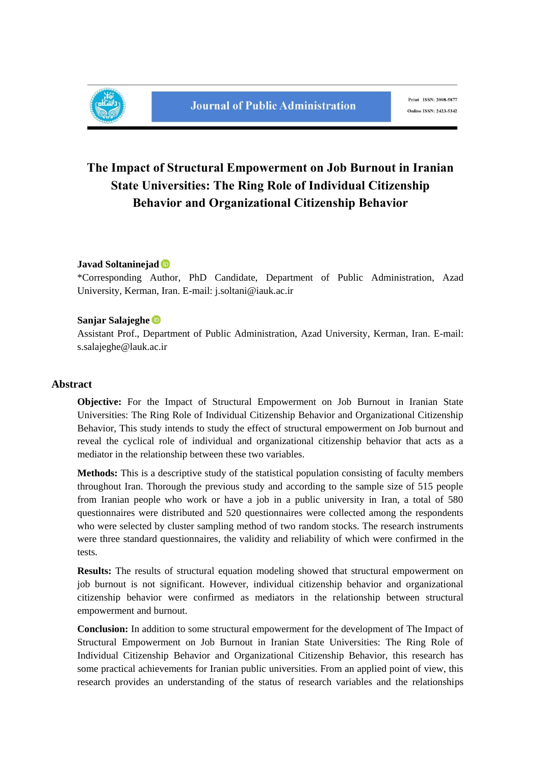

## **The Impact of Structural Empowerment on Job Burnout in Iranian State Universities: The Ring Role of Individual Citizenship Behavior and Organizational Citizenship Behavior**

### **Javad Soltaninejad**

\*Corresponding Author, PhD Candidate, Department of Public Administration, Azad University, Kerman, Iran. E-mail: j.soltani@iauk.ac.ir

#### **Sanjar Salajeghe**

Assistant Prof., Department of Public Administration, Azad University, Kerman, Iran. E-mail: s.salajeghe@lauk.ac.ir

#### **Abstract**

**Objective:** For the Impact of Structural Empowerment on Job Burnout in Iranian State Universities: The Ring Role of Individual Citizenship Behavior and Organizational Citizenship Behavior, This study intends to study the effect of structural empowerment on Job burnout and reveal the cyclical role of individual and organizational citizenship behavior that acts as a mediator in the relationship between these two variables.

**Methods:** This is a descriptive study of the statistical population consisting of faculty members throughout Iran. Thorough the previous study and according to the sample size of 515 people from Iranian people who work or have a job in a public university in Iran, a total of 580 questionnaires were distributed and 520 questionnaires were collected among the respondents who were selected by cluster sampling method of two random stocks. The research instruments were three standard questionnaires, the validity and reliability of which were confirmed in the tests.

**Results:** The results of structural equation modeling showed that structural empowerment on job burnout is not significant. However, individual citizenship behavior and organizational citizenship behavior were confirmed as mediators in the relationship between structural empowerment and burnout.

**Conclusion:** In addition to some structural empowerment for the development of The Impact of Structural Empowerment on Job Burnout in Iranian State Universities: The Ring Role of Individual Citizenship Behavior and Organizational Citizenship Behavior, this research has some practical achievements for Iranian public universities. From an applied point of view, this research provides an understanding of the status of research variables and the relationships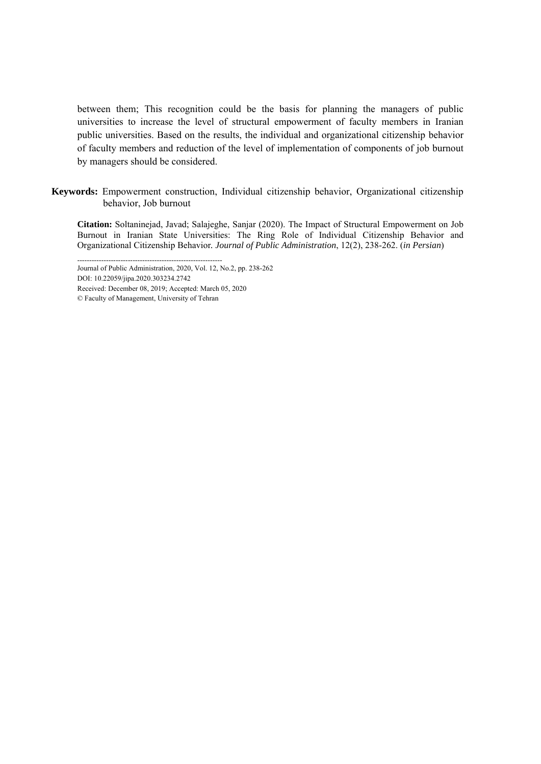between them; This recognition could be the basis for planning the managers of public universities to increase the level of structural empowerment of faculty members in Iranian public universities. Based on the results, the individual and organizational citizenship behavior of faculty members and reduction of the level of implementation of components of job burnout by managers should be considered.

**Keywords:** Empowerment construction, Individual citizenship behavior, Organizational citizenship behavior, Job burnout

**Citation:** Soltaninejad, Javad; Salajeghe, Sanjar (2020). The Impact of Structural Empowerment on Job Burnout in Iranian State Universities: The Ring Role of Individual Citizenship Behavior and Organizational Citizenship Behavior*. Journal of Public Administration*, 12(2), 238-262. (*in Persian*)

Received: December 08, 2019; Accepted: March 05, 2020

<sup>------------------------------------------------------------</sup>  Journal of Public Administration, 2020, Vol. 12, No.2, pp. 238-262

DOI: 10.22059/jipa.2020.303234.2742

<sup>©</sup> Faculty of Management, University of Tehran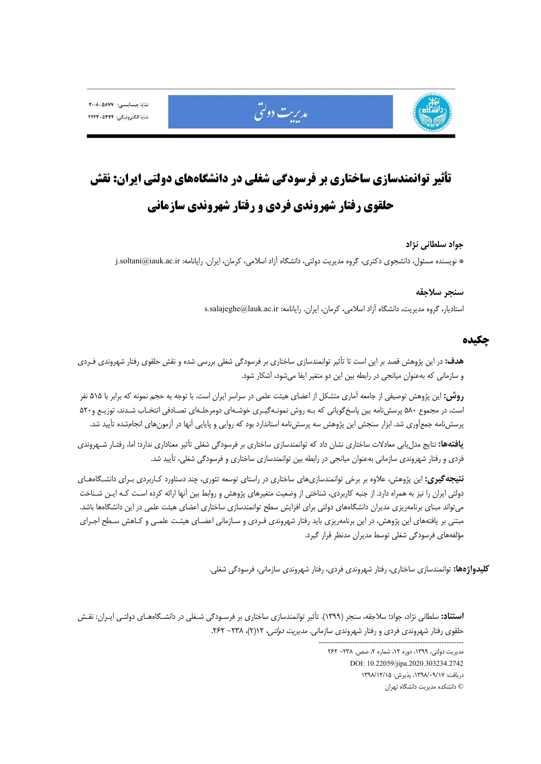

# **تأثير توانمندسازي ساختاري بر فرسودگي شغلي در دانشگاههاي دولتي ايران: نقش حلقوي رفتار شهروندي فردي و رفتار شهروندي سازماني**

مديريت دولتى

#### **جواد سلطاني نژاد**

\* نويسنده مسئول، دانشجوي دكتري، گروه مديريت دولتي، دانشگاه آزاد اسلامي، كرمان، ايران. رايانامه: ir.ac.iauk@soltani.j

#### **سنجر سلاجقه**

استاديار، گروه مديريت، دانشگاه آزاد اسلامي، كرمان، ايران. رايانامه: s.salajeghe@lauk.ac.ir

## **چكيده**

**هدف:** در اين پژوهش قصد بر اين است تا تأثير توانمندسازي ساختاري بر فرسودگي شغلي بررسي شده و نقش حلقوي رفتار شهروندي فـردي و سازماني كه بهعنوان ميانجي در رابطه بين اين دو متغير ايفا ميشود، آشكار شود.

**روش:** اين پژوهش توصيفي از جامعه آماري متشكل از اعضاي هيئت علمي در سراسر ايران است. با توجه به حجم نمونه كه برابر با 515 نفر است، در مجموع 580 پرسشنامه بين پاسخگوياني كه بـه روش نمونـهگيـري خوشـهاي دومرحلـهاي تصـادفي انتخـاب شـدند، توزيـع و520 پرسشنامه جمعآوري شد. ابزار سنجش اين پژوهش سه پرسشنامه استاندارد بود كه روايي و پايايي آنها در آزمونهاي انجامشده تأييد شد.

**يافتهها:** نتايج مدليابي معادلات ساختاري نشان داد كه توانمندسازي ساختاري بر فرسودگي شغلي تأثير معناداري ندارد؛ اما، رفتـار شـهروندي فردي و رفتار شهروندي سازماني بهعنوان ميانجي در رابطه بين توانمندسازي ساختاري و فرسودگي شغلي، تأييد شد.

**نتيجهگيري:** اين پژوهش، علاوه بر برخي توانمندسازيهاي ساختاري در راستاي توسعه تئوري، چند دستاورد كـاربردي بـراي دانشـگاههـاي دولتي ايران را نيز به همراه دارد. از جنبه كاربردي، شناختي از وضعيت متغيرهاي پژوهش و روابط بين آنها ارائه كرده اسـت كـه ايـن شـناخت ميتواند مبناي برنامهريزي مديران دانشگاههاي دولتي براي افزايش سطح توانمندسازي ساختاري اعضاي هيئت علمي در اين دانشگاهها باشد. مبتني بر يافتههاي اين پژوهش، در اين برنامهريزي بايد رفتار شهروندي فـردي و سـازماني اعضـاي هيئـت علمـي و كـاهش سـطح اجـراي مؤلفههاي فرسودگي شغلي توسط مديران مدنظر قرار گيرد.

**كليدواژهها:** توانمندسازي ساختاري، رفتار شهروندي فردي، رفتار شهروندي سازماني، فرسودگي شغلي.

**استناد:** سلطاني نژاد، جواد؛ سلاجقه، سنجر (1399). تأثير توانمندسازي ساختاري بر فرسـودگي شـغلي در دانشـگاههـاي دولتـي ايـران: نقـش حلقوى رفتار شهروندى فردى و رفتار شهروندى سازمانى. *مديريت دولتى،* ١٢(٢)، ٢٣٨- ٢۶٢.

------------------------------------------------------------

مديريت دولتي، ١٣٩٩، دوره ١٢، شماره ٢، صص. ٢٣٨- ٢۶٢ DOI: 10.22059/jipa.2020.303234.2742 دريافت: ،1398/09/17 پذيرش: 1398/12/15 © دانشكده مديريت دانشگاه تهران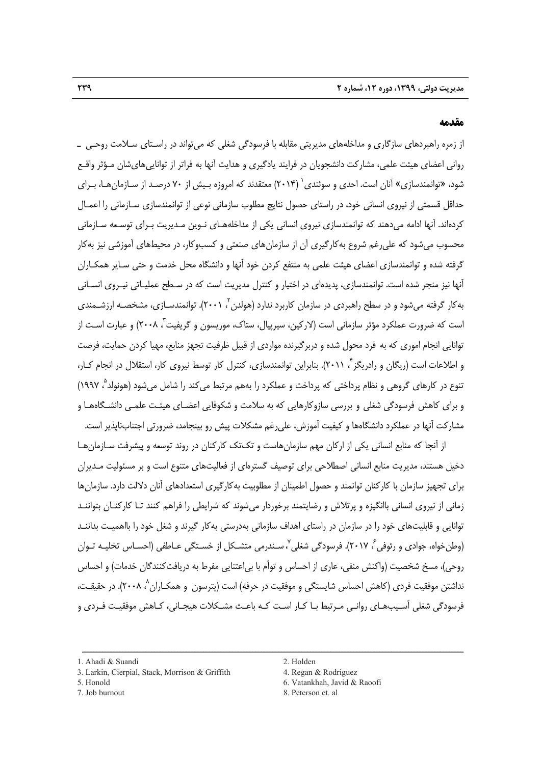#### **مقدمه**

از زمره راهبردهاي سازگاري و مداخلههاي مديريتي مقابله با فرسودگي شغلي كه ميتواند در راسـتاي سـلامت روحـي ـ رواني اعضاي هيئت علمي، مشاركت دانشجويان در فرايند يادگيري و هدايت آنها به فراتر از تواناييهايشان مـؤثر واقـع شود، «توانمندسازي» آنان است. احدي و سوئندي ` (۲۰۱۴) معتقدند كه امروزه بـيش از ۷۰ درصـد از سـازمان هـا، بـراي حداقل قسمتي از نيروي انساني خود، در راستاي حصول نتايج مطلوب سازماني نوعي از توانمندسازي سـازماني را اعمـال كردهاند. آنها ادامه ميدهند كه توانمندسازي نيروي انساني يكي از مداخلههـاي نـوين مـديريت بـراي توسـعه سـازماني محسوب ميشود كه عليرغم شروع بهكارگيري آن از سازمانهاي صنعتي و كسبوكار، در محيطهاي آموزشي نيز بهكار گرفته شده و توانمندسازي اعضاي هيئت علمي به منتفع كردن خود آنها و دانشگاه محل خدمت و حتي سـاير همكـاران آنها نيز منجر شده است. توانمندسازي، پديدهاي در اختيار و كنترل مديريت است كه در سـطح عمليـاتي نيـروي انسـاني بهکار گرفته میشود و در سطح راهبردی در سازمان کاربرد ندارد (هولدن<sup>۲</sup>، ۲۰۰۱). توانمندسـازی، مشخصـه ارزشـمندی است كه ضرورت عملكرد مؤثر سازماني است (لاركين، سيرپيال، ستاك، موريسون و گريفيت<sup>7</sup>، ۲۰۰۸) و عبارت اسـت از توانايي انجام اموري كه به فرد محول شده و دربرگيرنده مواردي از قبيل ظرفيت تجهز منابع، مهيا كردن حمايت، فرصت و اطلاعات است (ریگان و رادریگز ۲ ۲۰۱۱). بنابراین توانمندسازی، کنترل کار توسط نیروی کار، استقلال در انجام کـار، تنوع در كارهاي گروهي و نظام پرداختي كه پرداخت و عملكرد را بههم مرتبط ميكند را شامل ميشود (هونولد°، ۱۹۹۷) و براي كاهش فرسودگي شغلي و بررسي سازوكارهايي كه به سلامت و شكوفايي اعضـاي هيئـت علمـي دانشـگاههـا و مشاركت آنها در عملكرد دانشگاهها و كيفيت آموزش، عليرغم مشكلات پيش رو بينجامد، ضرورتي اجتنابناپذير است.

از آنجا كه منابع انساني يكي از اركان مهم سازمانهاست و تكتك كاركنان در روند توسعه و پيشرفت سـازمانهـا دخيل هستند، مديريت منابع انساني اصطلاحي براي توصيف گسترهاي از فعاليتهاي متنوع است و بر مسئوليت مـديران براي تجهيز سازمان با كاركنان توانمند و حصول اطمينان از مطلوبيت بهكارگيري استعدادهاي آنان دلالت دارد. سازمانها زماني از نيروي انساني باانگيزه و پرتلاش و رضايتمند برخوردار ميشوند كه شرايطي را فراهم كنند تـا كاركنـان بتواننـد توانايي و قابليتهاي خود را در سازمان در راستاي اهداف سازماني بهدرستي بهكار گيرند و شغل خود را بااهميـت بداننـد (وطن خواه، جوادي و رئوفي  $^2$  ٢٠١٧). فرسودگي شغلي <sup>٧</sup>، سـندرمي متشـكل از خسـتگي عـاطفي (احسـاس تخليـه تـوان روحي)، مسخ شخصيت (واكنش منفي، عاري از احساس و توأم با بياعتنايي مفرط به دريافتكنندگان خدمات) و احساس نداشتن موفقيت فردي (كاهش احساس شايستگي و موفقيت در حرفه) است (پترسون و همكـاران ^ ۲۰۰۸). در حقيقـت، فرسودگي شغلي آسـيبهـاي روانـي مـرتبط بـا كـار اسـت كـه باعـث مشـكلات هيجـاني، كـاهش موفقيـت فـردي و

- 
- 
- 5. Honold 6. Vatankhah, Javid & Raoofi
- 7. Job burnout 8. Peterson et. al

<sup>1.</sup> Ahadi & Suandi 2. Holden

<sup>3.</sup> Larkin, Cierpial, Stack, Morrison & Griffith 4. Regan & Rodriguez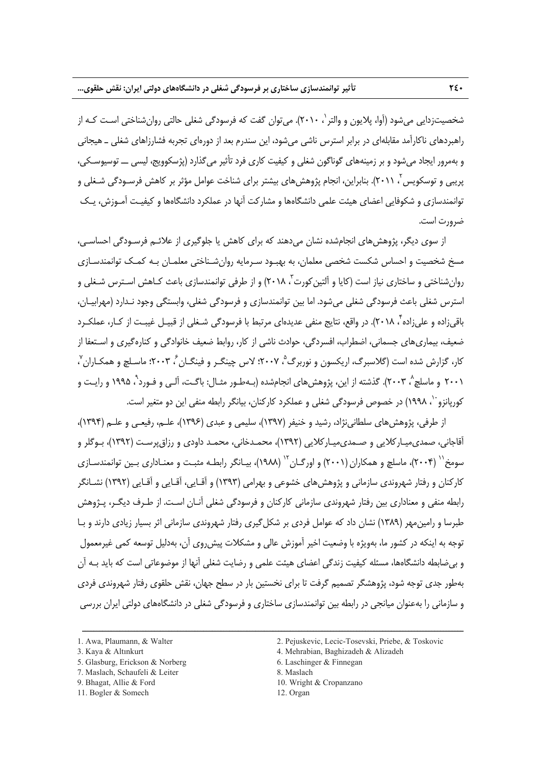شخصيتزدايي مي شود (آوا، پلايون و والتر`، ۲۰۱۰). مي توان گفت كه فرسودگي شغلي حالتي روان شناختي اسـت كـه از راهبردهاي ناكارآمد مقابلهاي در برابر استرس ناشي ميشود، اين سندرم بعد از دورهاي تجربه فشارزاهاي شغلي ـ هيجاني و بهمرور ايجاد ميشود و بر زمينههاي گوناگون شغلي و كيفيت كاري فرد تأثير ميگذارد (پژسكوويج، ليسي ــ توسيوسـكي، بريبی و توسكويس ٌ، ٢٠١١). بنابراين، انجام پژوهشهای بيشتر برای شناخت عوامل مؤثر بر كاهش فرسـودگی شـغلی و توانمندسازي و شكوفايي اعضاي هيئت علمي دانشگاهها و مشاركت آنها در عملكرد دانشگاهها و كيفيـت آمـوزش، يـك ضرورت است.

از سوي ديگر، پژوهشهاي انجامشده نشان ميدهند كه براي كاهش يا جلوگيري از علائـم فرسـودگي احساسـي، مسخ شخصيت و احساس شكست شخصي معلمان، به بهبـود سـرمايه روانشـناختي معلمـان بـه كمـك توانمندسـازي روانشناختی و ساختاری نیاز است (كایا و اَلتینکورت ؒ، ۲۰۱۸) و از طرفی توانمندسازی باعث کـاهش اسـترس شـغلی و استرس شغلي باعث فرسودگي شغلي ميشود. اما بين توانمندسازي و فرسودگي شغلي، وابستگي وجود نـدارد (مهرابيـان، باقي;اده و علي;اده ً، ٢٠١٨). در واقع، نتايج منفي عديدهاي مرتبط با فرسودگي شـغلي از قبيـل غيبـت از كـار، عملكـرد ضعيف، بيماريهاي جسماني، اضطراب، افسردگي، حوادث ناشي از كار، روابط ضعيف خانوادگي و كنارهگيري و اسـتعفا از كار، گزارش شده است (گلاسبرگ، اريكسون و نوربرگ<sup>°</sup>، ۲۰۰۷؛ لاس چينگـر و فينگـان ً، ۲۰۰۳؛ ماسـلچ و همكـاران ّ ، ۲۰۰۱ و ماسلچ ٔ، ۲۰۰۳). گذشته از این، پژوهشهای انجامشده (بـهطـور مثـال: باگـت، آلـي و فـورد ْ، ۱۹۹۵ و رايـت و كوريانزو ``، ١٩٩٨) در خصوص فرسودگي شغلي و عملكرد كاركنان، بيانگر رابطه منفي اين دو متغير است.

از طرفي، پژوهشهاي سلطانينژاد، رشيد و خنيفر (1397)، سليمي و عبدي (1396)، علـم، رفيعـي و علـم (1394)، آقاجاني، صمديميـاركلايي و صـمديميـاركلايي (1392)، محمـدخاني، محمـد داودي و رزاقپرسـت (1392)، بـوگلر و سومخ`` (۲۰۰۴)، ماسلچ و همکاران (۲۰۰۱) و اورگـان<sup>۱۲</sup> (۱۹۸۸)، بيـانگر رابطـه مثبـت و معنـاداري بـين توانمندسـازي كاركنان و رفتار شهروندي سازماني و پژوهشهاي خشوعي و بهرامي (1393) و آقـايي، آقـايي و آقـايي (1392) نشـانگر رابطه منفي و معناداري بين رفتار شهروندي سازماني كاركنان و فرسودگي شغلي آنـان اسـت. از طـرف ديگـر، پـژوهش طبرسا و رامينمهر (1389) نشان داد كه عوامل فردي بر شكلگيري رفتار شهروندي سازماني اثر بسيار زيادي دارند و بـا توجه به اينكه در كشور ما، بهويژه با وضعيت اخير آموزش عالي و مشكلات پيشروي آن، بهدليل توسعه كمي غيرمعمول و بيضابطه دانشگاهها، مسئله كيفيت زندگي اعضاي هيئت علمي و رضايت شغلي آنها از موضوعاتي است كه بايد بـه آن بهطور جدي توجه شود، پژوهشگر تصميم گرفت تا براي نخستين بار در سطح جهان، نقش حلقوي رفتار شهروندي فردي و سازماني را بهعنوان ميانجي در رابطه بين توانمندسازي ساختاري و فرسودگي شغلي در دانشگاههاي دولتي ايران بررسي

- 
- 7. Maslach, Schaufeli & Leiter 8. Maslach
- 
- 1. Awa, Plaumann, & Walter 2. Pejuskevic, Lecic-Tosevski, Priebe, & Toskovic
- 3. Kaya & Altınkurt 4. Mehrabian, Baghizadeh & Alizadeh
- 5. Glasburg, Erickson & Norberg 6. Laschinger & Finnegan
	-
- 9. Bhagat, Allie & Ford 10. Wright & Cropanzano
	-

<sup>11.</sup> Bogler & Somech 12. Organ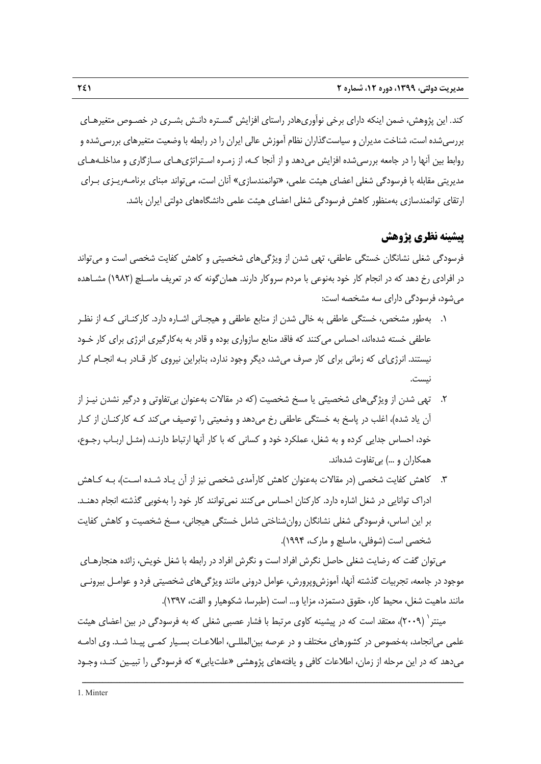كند. اين پژوهش، ضمن اينكه داراي برخي نوآوريهادر راستاي افزايش گسـتره دانـش بشـري در خصـوص متغيرهـاي بررسيشده است، شناخت مديران و سياستگذاران نظام آموزش عالي ايران را در رابطه با وضعيت متغيرهاي بررسيشده و روابط بين آنها را در جامعه بررسيشده افزايش ميدهد و از آنجا كـه، از زمـره اسـتراتژيهـاي سـازگاري و مداخلـههـاي مديريتي مقابله با فرسودگي شغلي اعضاي هيئت علمي، «توانمندسازي» آنان است، ميتواند مبناي برنامـهريـزي بـراي ارتقاي توانمندسازي بهمنظور كاهش فرسودگي شغلي اعضاي هيئت علمي دانشگاههاي دولتي ايران باشد.

## **پيشينه نظري پژوهش**

فرسودگي شغلي نشانگان خستگي عاطفي، تهي شدن از ويژگيهاي شخصيتي و كاهش كفايت شخصي است و ميتواند در افرادي رخ دهد كه در انجام كار خود بهنوعي با مردم سروكار دارند. همانگونه كه در تعريف ماسـلچ (1982) مشـاهده ميشود، فرسودگي داراي سه مشخصه است:

- .1 بهطور مشخص، خستگي عاطفي به خالي شدن از منابع عاطفي و هيجـاني اشـاره دارد. كاركنـاني كـه از نظـر عاطفي خسته شدهاند، احساس ميكنند كه فاقد منابع سازواري بوده و قادر به بهكارگيري انرژي براي كار خـود نيستند. انرژياي كه زماني براي كار صرف ميشد، ديگر وجود ندارد، بنابراين نيروي كار قـادر بـه انجـام كـار نيست.
- .2 تهي شدن از ويژگيهاي شخصيتي يا مسخ شخصيت (كه در مقالات بهعنوان بيتفاوتي و درگير نشدن نيـز از آن ياد شده)، اغلب در پاسخ به خستگي عاطفي رخ ميدهد و وضعيتي را توصيف ميكند كـه كاركنـان از كـار خود، احساس جدايي كرده و به شغل، عملكرد خود و كساني كه با كار آنها ارتباط دارنـد، (مثـل اربـاب رجـوع، همكاران و ...) بيتفاوت شدهاند.
- .3 كاهش كفايت شخصي (در مقالات بهعنوان كاهش كارآمدي شخصي نيز از آن يـاد شـده اسـت)، بـه كـاهش ادراك توانايي در شغل اشاره دارد. كاركنان احساس مي كنند نميتوانند كار خود را بهخوبي گذشته انجام دهنـد. بر اين اساس، فرسودگي شغلي نشانگان روانشناختي شامل خستگي هيجاني، مسخ شخصيت و كاهش كفايت شخصي است (شوفلي، ماسلچ و مارك، 1994).

ميتوان گفت كه رضايت شغلي حاصل نگرش افراد است و نگرش افراد در رابطه با شغل خويش، زائده هنجارهـاي موجود در جامعه، تجربيات گذشته آنها، آموزشوپرورش، عوامل دروني مانند ويژگيهاي شخصيتي فرد و عوامـل بيرونـي مانند ماهيت شغل، محيط كار، حقوق دستمزد، مزايا و... است (طبرسا، شكوهيار و الفت، 1397).

مينتر 1 (2009)، معتقد است كه در پيشينه كاوي مرتبط با فشار عصبي شغلي كه به فرسودگي در بين اعضاي هيئت علمي ميانجامد، بهخصوص در كشورهاي مختلف و در عرصه بينالمللـي، اطلاعـات بسـيار كمـي پيـدا شـد. وي ادامـه ميدهد كه در اين مرحله از زمان، اطلاعات كافي و يافتههاي پژوهشي «علتيابي» كه فرسودگي را تبيـين كنـد، وجـود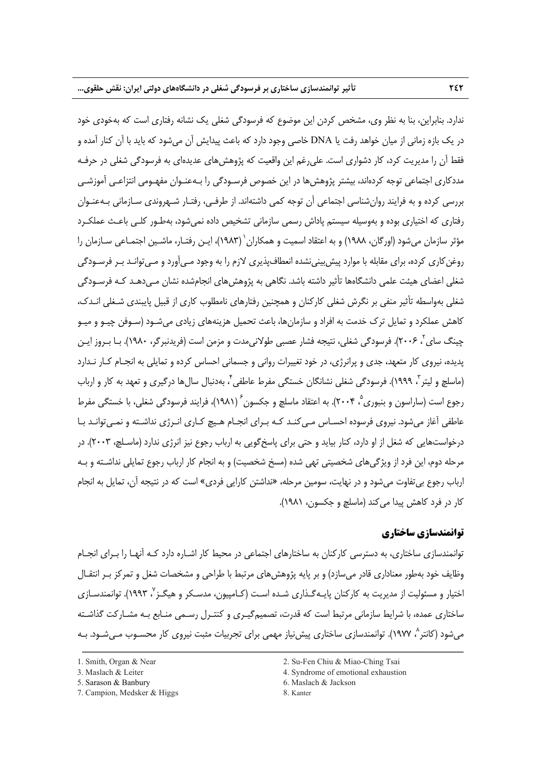ندارد. بنابراين، بنا به نظر وي، مشخص كردن اين موضوع كه فرسودگي شغلي يك نشانه رفتاري است كه بهخودي خود در يك بازه زماني از ميان خواهد رفت يا DNA خاصي وجود دارد كه باعث پيدايش آن ميشود كه بايد با آن كنار آمده و فقط آن را مديريت كرد، كار دشواري است. عليرغم اين واقعيت كه پژوهشهاي عديدهاي به فرسودگي شغلي در حرفـه مددكاري اجتماعي توجه كردهاند، بيشتر پژوهشها در اين خصوص فرسـودگي را بـهعنـوان مفهـومي انتزاعـي آموزشـي بررسي كرده و به فرايند روانشناسي اجتماعي آن توجه كمي داشتهاند. از طرفـي، رفتـار شـهروندي سـازماني بـهعنـوان رفتاري كه اختياري بوده و بهوسيله سيستم پاداش رسمي سازماني تشخيص داده نميشود، بهطـور كلـي باعـث عملكـرد مؤثر سازمان مي شود (اورگان، ١٩٨٨) و به اعتقاد اسميت و همكاران (١٩٨٣)، ايـن رفتـار، ماشـين اجتمـاعي سـازمان را روغنكاري كرده، براي مقابله با موارد پيشبينينشده انعطافپذيري لازم را به وجود مـيآورد و مـيتوانـد بـر فرسـودگي شغلي اعضاي هيئت علمي دانشگاهها تأثير داشته باشد. نگاهي به پژوهشهاي انجامشده نشان مـيدهـد كـه فرسـودگي شغلي بهواسطه تأثير منفي بر نگرش شغلي كاركنان و همچنين رفتارهاي نامطلوب كاري از قبيل پايبندي شـغلي انـدك، كاهش عملكرد و تمايل ترك خدمت به افراد و سازمانها، باعث تحميل هزينههاي زيادي ميشـود (سـوفن چيـو و ميـو چینگ سای آ، ۲۰۰۶). فرسودگی شغلی، نتیجه فشار عصبی طولانیمدت و مزمن است (فریدنبرگر، ۱۹۸۰). بـا بـروز ایـن پديده، نيروي كار متعهد، جدي و پرانرژي، در خود تغييرات رواني و جسماني احساس كرده و تمايلي به انجـام كـار نـدارد (ماسلچ و ليتر ، ١٩٩٩). فرسودگي شغلي نشانگان خستگي مفرط عاطفي ، بهدنبال سال¢ا درگيري و تعهد به كار و ارباب رجوع است (ساراسون و بنبوري ْ، ۲۰۰۴). به اعتقاد ماسلچ و جكسون ٔ (۱۹۸۱)، فرايند فرسودگي شغلي، با خستگي مفرط عاطفي آغاز ميشود. نيروي فرسوده احسـاس مـيكنـد كـه بـراي انجـام هـيچ كـاري انـرژي نداشـته و نمـي توانـد بـا درخواستهايي كه شغل از او دارد، كنار بيايد و حتي براي پاسخگويي به ارباب رجوع نيز انرژي ندارد (ماسـلچ، 2003). در مرحله دوم، اين فرد از ويژگيهاي شخصيتي تهي شده (مسخ شخصيت) و به انجام كار ارباب رجوع تمايلي نداشـته و بـه ارباب رجوع بيتفاوت ميشود و در نهايت، سومين مرحله، «نداشتن كارايي فردي» است كه در نتيجه آن، تمايل به انجام كار در فرد كاهش پيدا ميكند (ماسلچ و جكسون، 1981).

## **توانمندسازي ساختاري**

توانمندسازي ساختاري، به دسترسي كاركنان به ساختارهاي اجتماعي در محيط كار اشـاره دارد كـه آنهـا را بـراي انجـام وظايف خود بهطور معناداري قادر ميسازد) و بر پايه پژوهشهاي مرتبط با طراحي و مشخصات شغل و تمركز بـر انتقـال اختيار و مسئوليت از مديريت به كاركنان پايـهگـذاري شـده اسـت (كـامپيون، مدسـكر و هيگـز<sup>۷</sup>، ۱۹۹۳). توانمندسـازي ساختاري عمده، با شرايط سازماني مرتبط است كه قدرت، تصميمگيـري و كنتـرل رسـمي منـابع بـه مشـاركت گذاشـته ميشود (كانتر 8 ، 1977). توانمندسازي ساختاري پيشنياز مهمي براي تجربيات مثبت نيروي كار محسـوب مـيشـود. بـه

ــــــــــــــــــــــــــــــــــــــــــــــــــــــــــــــــــــــــــــــــــــــــــــــــــــــــــــــــــــــــــــــــــــ

7. Campion, Medsker & Higgs 8. Kanter

<sup>1.</sup> Smith, Organ & Near 2. Su-Fen Chiu & Miao-Ching Tsai

<sup>3.</sup> Maslach & Leiter 4. Syndrome of emotional exhaustion

<sup>5.</sup> Sarason & Banbury 6. Maslach & Jackson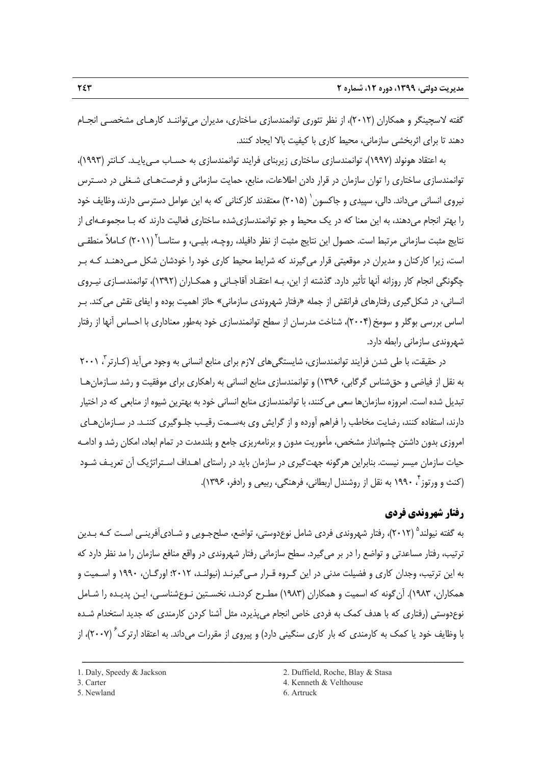گفته لاسچينگر و همكاران (2012)، از نظر تئوري توانمندسازي ساختاري، مديران ميتواننـد كارهـاي مشخصـي انجـام دهند تا براي اثربخشي سازماني، محيط كاري با كيفيت بالا ايجاد كنند.

به اعتقاد هونولد (1997)، توانمندسازي ساختاري زيربناي فرايند توانمندسازي به حسـاب مـييايـد. كـانتر (1993)، توانمندسازي ساختاري را توان سازمان در قرار دادن اطلاعات، منابع، حمايت سازماني و فرصتهـاي شـغلي در دسـترس نيروي انساني مي داند. دالي، سپيدي و جاكسون` (٢٠١۵) معتقدند كاركناني كه به اين عوامل دسترسي دارند، وظايف خود را بهتر انجام ميدهند، به اين معنا كه در يك محيط و جو توانمندسازيشده ساختاري فعاليت دارند كه بـا مجموعـهاي از نتايج مثبت سازماني مرتبط است. حصول اين نتايج مثبت از نظر دافيلد، روچـه، بليـي، و ستاسـا<sup>۲</sup> (۲۰۱۱) كـاملاً منطقـي است، زيرا كاركنان و مديران در موقعيتي قرار ميگيرند كه شرايط محيط كاري خود را خودشان شكل مـيدهنـد كـه بـر چگونگي انجام كار روزانه آنها تأثير دارد. گذشته از اين، بـه اعتقـاد آقاجـاني و همكـاران (1392)، توانمندسـازي نيـروي انساني، در شكلگيري رفتارهاي فرانقش از جمله «رفتار شهروندي سازماني» حائز اهميت بوده و ايفاي نقش ميكند. بـر اساس بررسي بوگلر و سومخ (2004)، شناخت مدرسان از سطح توانمندسازي خود بهطور معناداري با احساس آنها از رفتار شهروندي سازماني رابطه دارد.

در حقيقت، با طی شدن فرايند توانمندسازی، شايستگیهای لازم برای منابع انسانی به وجود می]يد (کـارتر<sup>۳</sup>، ۲۰۰۱ به نقل از فياضي و حقشناس گرگابي، 1396) و توانمندسازي منابع انساني به راهكاري براي موفقيت و رشد سـازمانهـا تبديل شده است. امروزه سازمانها سعي ميكنند، با توانمندسازي منابع انساني خود به بهترين شيوه از منابعي كه در اختيار دارند، استفاده كنند، رضايت مخاطب را فراهم آورده و از گرايش وي بهسـمت رقيـب جلـوگيري كننـد. در سـازمانهـاي امروزي بدون داشتن چشمانداز مشخص، مأموريت مدون و برنامهريزي جامع و بلندمدت در تمام ابعاد، امكان رشد و ادامـه حيات سازمان ميسر نيست. بنابراين هرگونه جهتگيري در سازمان بايد در راستاي اهـداف اسـتراتژيك آن تعريـف شـود ، 1990 به نقل از روشندل اربطاني، فرهنگي، ربيعي و رادفر، 1396). <sup>4</sup> (كنث و ورتوز

## **رفتار شهروندي فردي**

به گفته نيولند<sup>0</sup> (٢٠١٢)، رفتار شهروندي فردي شامل نوعدوستي، تواضع، صلحجـويي و شـاديآفرينـي اسـت كـه بـدين ترتيب، رفتار مساعدتي و تواضع را در بر ميگيرد. سطح سازماني رفتار شهروندي در واقع منافع سازمان را مد نظر دارد كه به اين ترتيب، وجدان كاري و فضيلت مدني در اين گـروه قـرار مـيگيرنـد (نيولنـد، 2012؛ اورگـان، 1990 و اسـميت و همكاران، 1983). آنگونه كه اسميت و همكاران (1983) مطـرح كردنـد، نخسـتين نـوعشناسـي، ايـن پديـده را شـامل نوعدوستي (رفتاري كه با هدف كمك به فردي خاص انجام ميپذيرد، مثل آشنا كردن كارمندي كه جديد استخدام شـده با وظايف خود يا كمك به كارمندي كه بار كاري سنگيني دارد) و پيروي از مقررات مي داند. به اعتقاد ارترك<sup>۶</sup> (۲۰۰۷)، از

<sup>1.</sup> Daly, Speedy & Jackson 2. Duffield, Roche, Blay & Stasa

<sup>3.</sup> Carter 4. Kenneth & Velthouse

<sup>5.</sup> Newland 6. Artruck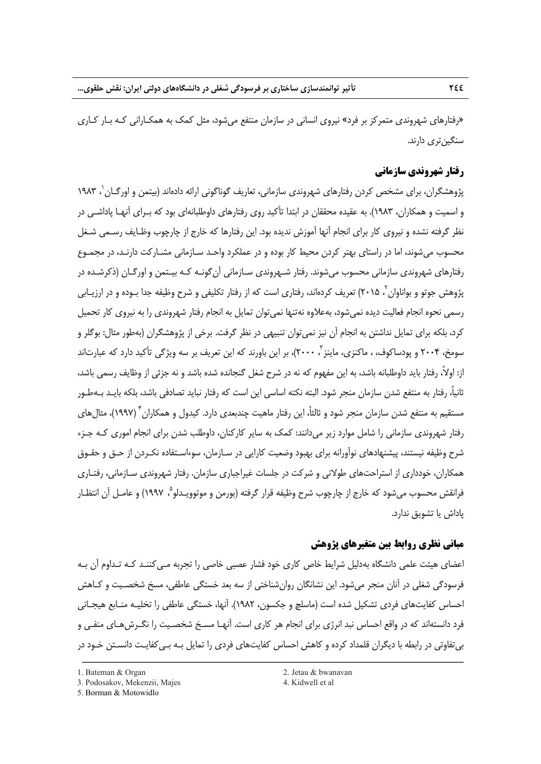«رفتارهاي شهروندي متمركز بر فرد» نيروي انساني در سازمان منتفع ميشود، مثل كمك به همكـاراني كـه بـار كـاري سنگينتري دارند.

## **رفتار شهروندي سازماني**

پژوهشگران، براي مشخص كردن رفتارهاي شهروندي سازماني، تعاريف گوناگوني ارائه دادهاند (بيتمن و اورگـان ٰ، ۱۹۸۳ و اسميت و همكاران، 1983). به عقيده محققان در ابتدا تأكيد روي رفتارهاي داوطلبانهاي بود كه بـراي آنهـا پاداشـي در نظر گرفته نشده و نيروي كار براي انجام آنها آموزش نديده بود. اين رفتارها كه خارج از چارچوب وظـايف رسـمي شـغل محسوب ميشوند، اما در راستاي بهتر كردن محيط كار بوده و در عملكرد واحـد سـازماني مشـاركت دارنـد، در مجمـوع رفتارهاي شهروندي سازماني محسوب ميشوند. رفتار شـهروندي سـازماني آنگونـه كـه بيـتمن و اورگـان (ذكرشـده در پژوهش جوتو و بواناوان <sup>۲</sup>، ۲۰۱۵) تعريف كردهاند، رفتاري است كه از رفتار تكليفي و شرح وظيفه جدا بـوده و در ارزيـابي رسمي نحوه انجام فعاليت ديده نميشود، بهعلاوه نهتنها نميتوان تمايل به انجام رفتار شهروندي را به نيروي كار تحميل كرد، بلكه براي تمايل نداشتن به انجام آن نيز نمي توان تنبيهي در نظر گرفت. برخي از پژوهشگران (بهطور مثال: بوگلر و سومخ، ۲۰۰۴ و يودساكوف، ، ماكنزي، ماينز "، ۲۰۰۰)، بر اين باورند كه اين تعريف بر سه ويژگي تأكيد دارد كه عبارتاند از: اولا،ً رفتار بايد داوطلبانه باشد، به اين مفهوم كه نه در شرح شغل گنجانده شده باشد و نه جزئي از وظايف رسمي باشد، ثانيا،ً رفتار به منتفع شدن سازمان منجر شود. البته نكته اساسي اين است كه رفتار نبايد تصادفي باشد، بلكه بايـد بـهطـور مستقيم به منتفع شدن سازمان منجر شود و ثالثاً، اين رفتار ماهيت چندبعدي دارد. كيدول و همكاران <sup>٢</sup> (١٩٩٧)، مثال هاي رفتار شهروندي سازماني را شامل موارد زير ميدانند: كمك به ساير كاركنان، داوطلب شدن براي انجام اموري كـه جـزء شرح وظيفه نيستند، پيشنهادهاي نوآورانه براي بهبود وضعيت كارايي در سـازمان، سوءاسـتفاده نكـردن از حـق و حقـوق همكاران، خودداري از استراحتهاي طولاني و شركت در جلسات غيراجباري سازمان. رفتار شهروندي سـازماني، رفتـاري فرانقش محسوب مي شود كه خارج از چارچوب شرح وظيفه قرار گرفته (بورمن و موتوويـدلو ْ، ١٩٩٧) و عامـل آن انتظـار پاداش يا تشويق ندارد.

## **مباني نظري روابط بين متغيرهاي پژوهش**

اعضاي هيئت علمي دانشگاه بهدليل شرايط خاص كاري خود فشار عصبي خاصي را تجربه مـيكننـد كـه تـداوم آن بـه فرسودگي شغلي در آنان منجر ميشود. اين نشانگان روانشناختي از سه بعد خستگي عاطفي، مسخ شخصـيت و كـاهش احساس كفايتهاي فردي تشكيل شده است (ماسلچ و جكسون، 1982). آنها، خستگي عاطفي را تخليـه منـابع هيجـاني فرد دانستهاند كه در واقع احساس نبد انرژي براي انجام هر كاري است. آنهـا مسـخ شخصـيت را نگـرشهـاي منفـي و بيتفاوتي در رابطه با ديگران قلمداد كرده و كاهش احساس كفايتهاي فردي را تمايل بـه بـيكفايـت دانسـتن خـود در

<sup>1.</sup> Bateman & Organ 2. Jetau & bwanavan

<sup>3.</sup> Podosakov, Mekenzii, Majes 4. Kidwell et al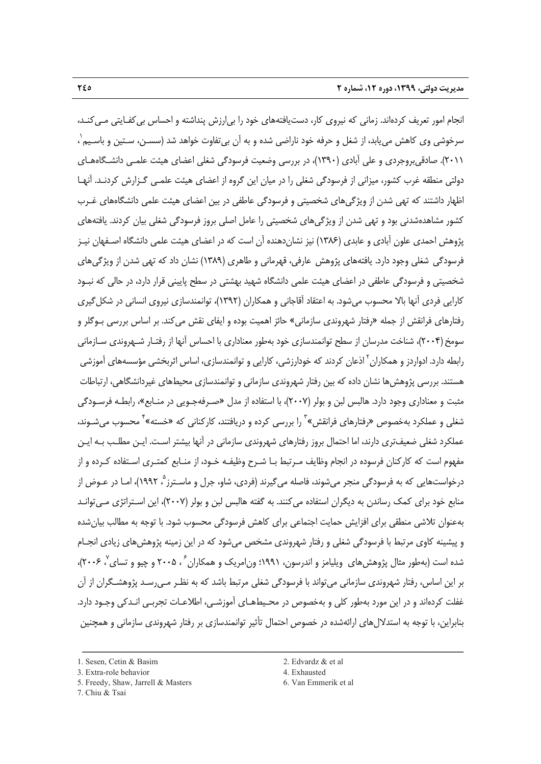انجام امور تعريف كردهاند. زماني كه نيروي كار، دستيافتههاي خود را بيارزش پنداشته و احساس بيكفـايتي مـيكنـد، 1 سرخوشي وي كاهش مييابد، از شغل و حرفه خود ناراضي شده و به آن بيتفاوت خواهد شد (سسـن، سـتين و باسـيم ، 2011). صادقيبروجردي و علي آبادي (1390)، در بررسي وضعيت فرسودگي شغلي اعضاي هيئت علمـي دانشـگاههـاي دولتي منطقه غرب كشور، ميزاني از فرسودگي شغلي را در ميان اين گروه از اعضاي هيئت علمـي گـزارش كردنـد. آنهـا اظهار داشتند كه تهي شدن از ويژگيهاي شخصيتي و فرسودگي عاطفي در بين اعضاي هيئت علمي دانشگاههاي غـرب كشور مشاهدهشدني بود و تهي شدن از ويژگيهاي شخصيتي را عامل اصلي بروز فرسودگي شغلي بيان كردند. يافتههاي پژوهش احمدي علون آبادي و عابدي (1386) نيز نشاندهنده آن است كه در اعضاي هيئت علمي دانشگاه اصـفهان نيـز فرسودگي شغلي وجود دارد. يافتههاي پژوهش عارفي، قهرماني و طاهري (1389) نشان داد كه تهي شدن از ويژگيهاي شخصيتي و فرسودگي عاطفي در اعضاي هيئت علمي دانشگاه شهيد بهشتي در سطح پاييني قرار دارد، در حالي كه نبـود كارايي فردي آنها بالا محسوب ميشود. به اعتقاد آقاجاني و همكاران (1392)، توانمندسازي نيروي انساني در شكلگيري رفتارهاي فرانقش از جمله «رفتار شهروندي سازماني» حائز اهميت بوده و ايفاي نقش ميكند. بر اساس بررسي بـوگلر و سومخ (2004)، شناخت مدرسان از سطح توانمندسازي خود بهطور معناداري با احساس آنها از رفتـار شـهروندي سـازماني رابطه دارد. ادواردز و همكاران آذعان كردند كه خودارزشي، كارايي و توانمندسازي، اساس اثربخشي مؤسسههاي اموزشي هستند. بررسي پژوهشها نشان داده كه بين رفتار شهروندي سازماني و توانمندسازي محيطهاي غيردانشگاهي، ارتباطات مثبت و معناداري وجود دارد. هالبس لبن و بولر (2007)، با استفاده از مدل «صـرفهجـويي در منـابع»، رابطـه فرسـودگي شغلي و عملكرد بهخصوص «رفتارهاي فرانقش» ّ را بررسي كرده و دريافتند، كاركناني كه «خسته» <sup>1</sup> محسوب مي شـوند، عملكرد شغلي ضعيفتري دارند، اما احتمال بروز رفتارهاي شهروندي سازماني در آنها بيشتر اسـت. ايـن مطلـب بـه ايـن مفهوم است كه كاركنان فرسوده در انجام وظايف مـرتبط بـا شـرح وظيفـه خـود، از منـابع كمتـري اسـتفاده كـرده و از درخواستهايي كه به فرسودگي منجر مي شوند، فاصله مي گيرند (فردي، شاو، جرل و ماسـترز<sup>ه</sup>، ۱۹۹۲)، امـا در عـوض از منابع خود براي كمك رساندن به ديگران استفاده ميكنند. به گفته هالبس لبن و بولر (2007)، اين اسـتراتژي مـيتوانـد بهعنوان تلاشي منطقي براي افزايش حمايت اجتماعي براي كاهش فرسودگي محسوب شود. با توجه به مطالب بيانشده و پيشينه كاوي مرتبط با فرسودگي شغلي و رفتار شهروندي مشخص ميشود كه در اين زمينه پژوهشهاي زيادي انجـام شده است (بهطور مثال پژوهش هاي ويليامز و اندرسون، ۱۹۹۱؛ ون|مريک و همکاران ً ، ۲۰۰۵ و چيو و تساي ً، ۲۰۰۶)، بر اين اساس، رفتار شهروندي سازماني ميتواند با فرسودگي شغلي مرتبط باشد كه به نظـر مـيرسـد پژوهشـگران از آن غفلت كردهاند و در اين مورد بهطور كلي و بهخصوص در محـيطهـاي آموزشـي، اطلاعـات تجربـي انـدكي وجـود دارد. بنابراين، با توجه به استدلالهاي ارائهشده در خصوص احتمال تأثير توانمندسازي بر رفتار شهروندي سازماني و همچنين

- 5. Freedy, Shaw, Jarrell & Masters 6. Van Emmerik et al.
- 7. Chiu & Tsai

<sup>3.</sup> Extra-role behavior 4. Exhausted

<sup>1.</sup> Sesen, Cetin & Basim 2. Edvardz & et al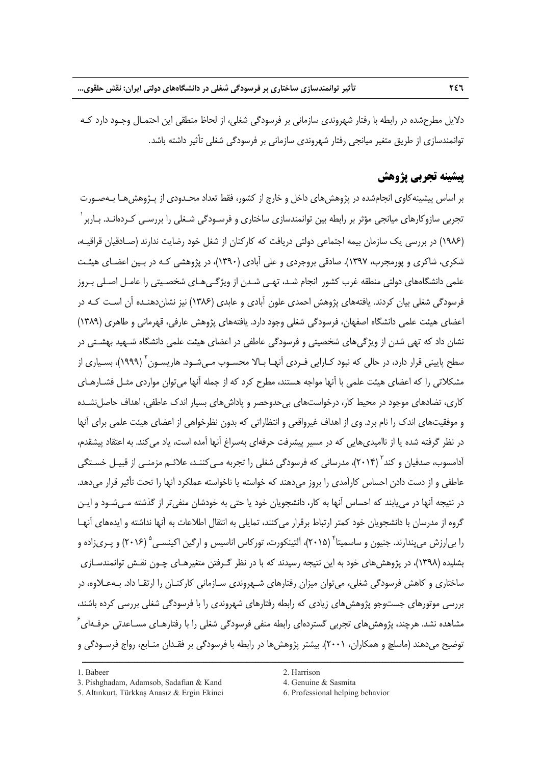دلايل مطرحشده در رابطه با رفتار شهروندي سازماني بر فرسودگي شغلي، از لحاظ منطقي اين احتمـال وجـود دارد كـه توانمندسازي از طريق متغير ميانجي رفتار شهروندي سازماني بر فرسودگي شغلي تأثير داشته باشد.

## **پيشينه تجربي پژوهش**

بر اساس پيشينهكاوي انجامشده در پژوهشهاي داخل و خارج از كشور، فقط تعداد محـدودي از پـژوهشهـا بـهصـورت تجربي سازوكارهاي ميانجي مؤثر بر رابطه بين توانمندسازي ساختاري و فرسـودگي شـغلي را بررسـي كـردهانـد. بـاربر 1 (1986) در بررسي يك سازمان بيمه اجتماعي دولتي دريافت كه كاركنان از شغل خود رضايت ندارند (صـادقيان قراقيـه، شكري، شاكري و پورمجرب، 1397). صادقي بروجردي و علي آبادي (1390)، در پژوهشي كـه در بـين اعضـاي هيئـت علمي دانشگاههاي دولتي منطقه غرب كشور انجام شـد، تهـي شـدن از ويژگـيهـاي شخصـيتي را عامـل اصـلي بـروز فرسودگي شغلي بيان كردند. يافتههاي پژوهش احمدي علون آبادي و عابدي (1386) نيز نشاندهنـده آن اسـت كـه در اعضاي هيئت علمي دانشگاه اصفهان، فرسودگي شغلي وجود دارد. يافتههاي پژوهش عارفي، قهرماني و طاهري (1389) نشان داد كه تهي شدن از ويژگيهاي شخصيتي و فرسودگي عاطفي در اعضاي هيئت علمي دانشگاه شـهيد بهشـتي در سطح پاييني قرار دارد، در حالي كه نبود كـارايي فـردي آنهـا بـالا محسـوب مـي شـود. هاريسـون (١٩٩٩)، بسـياري از مشكلاتي را كه اعضاي هيئت علمي با آنها مواجه هستند، مطرح كرد كه از جمله آنها ميتوان مواردي مثـل فشـارهـاي كاري، تضادهاي موجود در محيط كار، درخواستهاي بي حدوحصر و پاداشهاي بسيار اندک عاطفي، اهداف حاصل نشـده و موفقيتهاي اندك را نام برد. وي از اهداف غيرواقعي و انتظاراتي كه بدون نظرخواهي از اعضاي هيئت علمي براي آنها در نظر گرفته شده يا از نااميديهايي كه در مسير پيشرفت حرفهاي بهسراغ آنها آمده است، ياد ميكند. به اعتقاد پيشقدم، آدامسوب، صدفيان و كند<sup>۲</sup> (۲۰۱۴)، مدرساني كه فرسودگي شغلي را تجربه مـيكننـد، علائـم مزمنـي از قبيـل خسـتگي عاطفي و از دست دادن احساس كارآمدي را بروز مي دهند كه خواسته يا ناخواسته عملكرد آنها را تحت تأثير قرار مي دهد. در نتيجه آنها در مييابند كه احساس آنها به كار، دانشجويان خود يا حتي به خودشان منفيتر از گذشته مـيشـود و ايـن گروه از مدرسان با دانشجويان خود كمتر ارتباط برقرار ميكنند، تمايلي به انتقال اطلاعات به آنها نداشته و ايدههاي آنهـا را بي|رزش مي پندارند. جنيون و ساسميتا<sup>۲</sup> (۲۰۱۵)، آلتينكورت، توركاس اناسيس و ارگين اكينسـي <sup>۵</sup> (۲۰۱۶) و پـريزاده و بشليده (1398)، در پژوهشهاي خود به اين نتيجه رسيدند كه با در نظر گـرفتن متغيرهـاي چـون نقـش توانمندسـازي ساختاري و كاهش فرسودگي شغلي، ميتوان ميزان رفتارهاي شـهروندي سـازماني كاركنـان را ارتقـا داد. بـهعـلاوه، در بررسي موتورهاي جستوجو پژوهشهاي زيادي كه رابطه رفتارهاي شهروندي را با فرسودگي شغلي بررسي كرده باشند، مشاهده نشد. هرچند، پژوهشهای تجربی گستردهای رابطه منفی فرسودگی شغلی را با رفتارهـای مسـاعدتی حرفـهای<sup>۶</sup> توضيح ميدهند (ماسلچ و همكاران، 2001). بيشتر پژوهشها در رابطه با فرسودگي بر فقـدان منـابع، رواج فرسـودگي و

<sup>3.</sup> Pishghadam, Adamsob, Sadafian & Kand 4. Genuine & Sasmita

<sup>5.</sup> Altınkurt, Türkkaş Anasız & Ergin Ekinci 6. Professional helping behavior

<sup>1</sup> Babeer 2. Harrison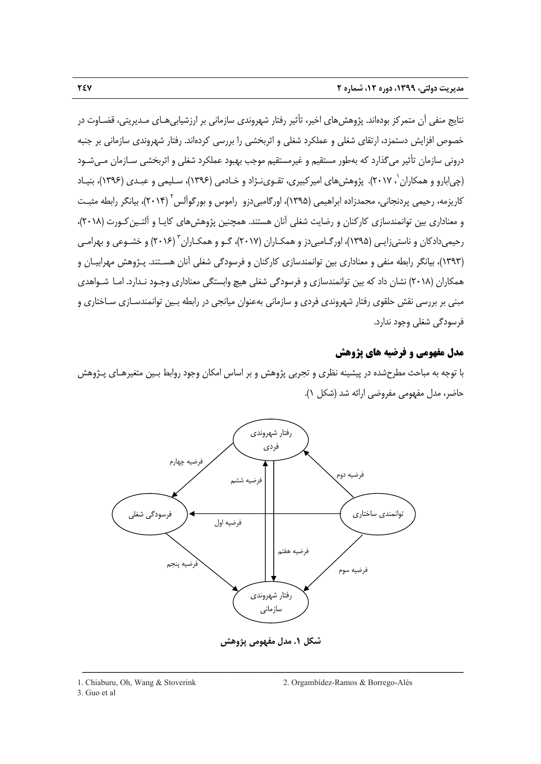نتايج منفي آن متمركز بودهاند. پژوهشهاي اخير، تأثير رفتار شهروندي سازماني بر ارزشيابيهـاي مـديريتي، قضـاوت در خصوص افزايش دستمزد، ارتقاي شغلي و عملكرد شغلي و اثربخشي را بررسي كردهاند. رفتار شهروندي سازماني بر جنبه دروني سازمان تأثير ميگذارد كه بهطور مستقيم و غيرمستقيم موجب بهبود عملكرد شغلي و اثربخشي سـازمان مـيشـود (چي|بارو و همكاران `، ۲۰۱۷). پژوهشهاي اميركبيري، تقـوي<code>نـژاد و خـادمي (١٣٩۶)، سـليمي و عبـدي (١٣٩۶)، بنيـاد 1966)</code> 2 كاريزمه، رحيمي پردنجاني، محمدزاده ابراهيمي (1395)، اورگامبيدزو راموس و بورگوآلس (2014)، بيانگر رابطه مثبـت و معناداري بين توانمندسازي كاركنان و رضايت شغلي آنان هستند. همچنين پژوهش هاي كايـا و آلتـين كـورت (٢٠١٨)، رحيميدادكان و ناستيزايـي (١٣٩۵)، اورگـامبيدز و همكـاران (٢٠١٧)، گــو و همكـاران " (٢٠١۶) و خشــوعي و بهرامـي (1393)، بيانگر رابطه منفي و معناداري بين توانمندسازي كاركنان و فرسودگي شغلي آنان هسـتند. پـژوهش مهرابيـان و همكاران (2018) نشان داد كه بين توانمندسازي و فرسودگي شغلي هيچ وابستگي معناداري وجـود نـدارد. امـا شـواهدي مبني بر بررسي نقش حلقوي رفتار شهروندي فردي و سازماني بهعنوان ميانجي در رابطه بـين توانمندسـازي سـاختاري و فرسودگي شغلي وجود ندارد.

## **مدل مفهومي و فرضيه هاي پژوهش**

با توجه به مباحث مطرحشده در پيشينه نظري و تجربي پژوهش و بر اساس امكان وجود روابط بـين متغيرهـاي پـژوهش حاضر، مدل مفهومي مفروضي ارائه شد (شكل 1).



**شكل .1 مدل مفهومي پژوهش**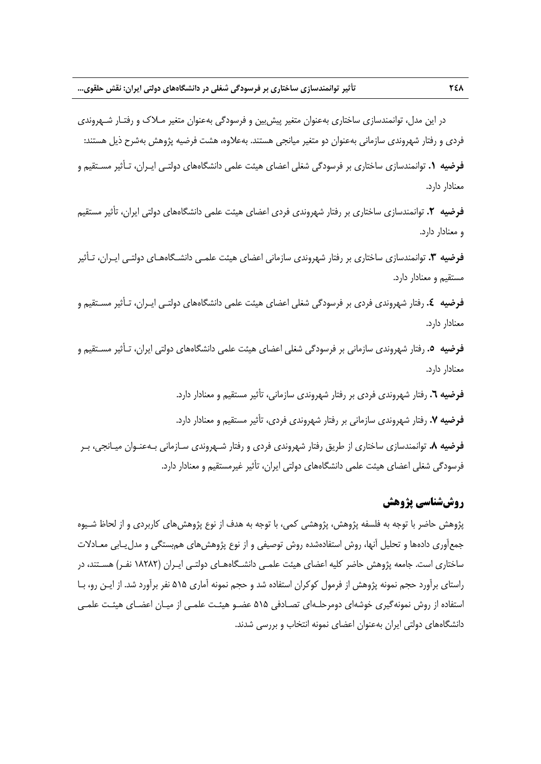در اين مدل، توانمندسازي ساختاري بهعنوان متغير پيشبين و فرسودگي بهعنوان متغير مـلاك و رفتـار شـهروندي فردي و رفتار شهروندي سازماني بهعنوان دو متغير ميانجي هستند. بهعلاوه، هشت فرضيه پژوهش بهشرح ذيل هستند:

**فرضيه .1** توانمندسازي ساختاري بر فرسودگي شغلي اعضاي هيئت علمي دانشگاههاي دولتـي ايـران، تـأثير مسـتقيم و معنادار دارد.

**فرضيه .2** توانمندسازي ساختاري بر رفتار شهروندي فردي اعضاي هيئت علمي دانشگاههاي دولتي ايران، تأثير مستقيم و معنادار دارد.

**فرضيه .3** توانمندسازي ساختاري بر رفتار شهروندي سازماني اعضاي هيئت علمـي دانشـگاههـاي دولتـي ايـران، تـأثير مستقيم و معنادار دارد.

**فرضيه .4** رفتار شهروندي فردي بر فرسودگي شغلي اعضاي هيئت علمي دانشگاههاي دولتـي ايـران، تـأثير مسـتقيم و معنادار دارد.

**فرضيه .5** رفتار شهروندي سازماني بر فرسودگي شغلي اعضاي هيئت علمي دانشگاههاي دولتي ايران، تـأثير مسـتقيم و معنادار دارد.

**فرضيه .6** رفتار شهروندي فردي بر رفتار شهروندي سازماني، تأثير مستقيم و معنادار دارد.

**فرضيه .7** رفتار شهروندي سازماني بر رفتار شهروندي فردي، تأثير مستقيم و معنادار دارد.

**فرضيه .8** توانمندسازي ساختاري از طريق رفتار شهروندي فردي و رفتار شـهروندي سـازماني بـهعنـوان ميـانجي، بـر فرسودگي شغلي اعضاي هيئت علمي دانشگاههاي دولتي ايران، تأثير غيرمستقيم و معنادار دارد.

## **روششناسي پژوهش**

پژوهش حاضر با توجه به فلسفه پژوهش، پژوهشي كمي، با توجه به هدف از نوع پژوهشهاي كاربردي و از لحاظ شـيوه جمعآوري دادهها و تحليل آنها، روش استفادهشده روش توصيفي و از نوع پژوهشهاي همبستگي و مدليـابي معـادلات ساختاري است. جامعه پژوهش حاضر كليه اعضاي هيئت علمـي دانشـگاههـاي دولتـي ايـران (18282 نفـر) هسـتند، در راستاي برآورد حجم نمونه پژوهش از فرمول كوكران استفاده شد و حجم نمونه آماري 515 نفر برآورد شد. از ايـن رو، بـا استفاده از روش نمونهگيري خوشهاي دومرحلـهاي تصـادفي 515 عضـو هيئـت علمـي از ميـان اعضـاي هيئـت علمـي دانشگاههاي دولتي ايران بهعنوان اعضاي نمونه انتخاب و بررسي شدند.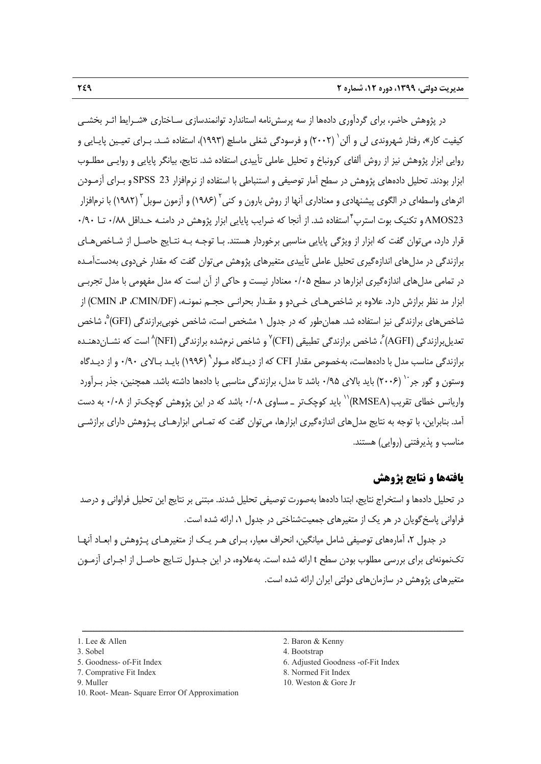در پژوهش حاضر، براي گردآوري دادهها از سه پرسشنامه استاندارد توانمندسازي سـاختاري «شـرايط اثـر بخشـي كيفيت كار»، رفتار شهروندى لي و آلن` (٢٠٠٢) و فرسودگي شغلي ماسلچ (١٩٩٣)، استفاده شـد. بـراي تعيـين پايـايي و روايي ابزار پژوهش نيز از روش آلفاي كرونباخ و تحليل عاملي تأييدي استفاده شد. نتايج، بيانگر پايايي و روايـي مطلـوب ابزار بودند. تحليل دادههاي پژوهش در سطح آمار توصيفي و استنباطي با استفاده از نرمافزار 23 SPSS و بـراي آزمـودن اثرهاي واسطهاي در الگوي پيشنهادي و معناداري آنها از روش بارون و كني آ (١٩٨۶) و آزمون سوبل آ (١٩٨٢) با نرمافزار استفاده شد. از آنجا كه ضرايب پايايي ابزار پژوهش در دامنـه حـداقل 0/88 تـا 0/90 <sup>4</sup> 23AMOS و تكنيك بوت استرپ قرار دارد، ميتوان گفت كه ابزار از ويژگي پايايي مناسبي برخوردار هستند. بـا توجـه بـه نتـايج حاصـل از شـاخصهـاي برازندگي در مدلهاي اندازهگيري تحليل عاملي تأييدي متغيرهاي پژوهش ميتوان گفت كه مقدار خيدوي بهدستآمـده در تمامي مدلهاي اندازهگيري ابزارها در سطح 0/05 معنادار نيست و حاكي از آن است كه مدل مفهومي با مدل تجربـي ابزار مد نظر برازش دارد. علاوه بر شاخصهـاى خـىدو و مقـدار بحرانـى حجـم نمونـه، (DF/CMIN، P، CMIN (از شاخصهای برازندگی نيز استفاده شد. همانطور كه در جدول ۱ مشخص است، شاخص خوبیبرازندگی (GFI)<sup>۵</sup>، شاخص ، نعدیلبرازندگی (AGFI) ً، شاخص برازندگی تطبیقی (CFI)<sup>۷</sup> و شاخص نرمشده برازندگی (NFI) ُ است که نشــاندهنــده برازندگي مناسب مدل با دادههاست، بهخصوص مقدار CFI كه از ديـدگاه مـولر<sup>\ (</sup>(۱۹۹۶) بايـد بـالاي ۰/۹۰ و از ديـدگاه وستون و گور جر <sup>۱۰</sup> (۲۰۰۶) باید بالای ۰/۹۵ باشد تا مدل، برازندگی مناسبی با دادهها داشته باشد. همچنین، جذر بـرآورد واريانس خطاى تقريب $\rm (RMSEA)$ '' بايد كوچك<code>تر \_ مساوي ۰/۰۸</code> باشد كه در اين پژوهش كوچك<code>تر</code> از ۰/۰۸ به دست آمد. بنابراين، با توجه به نتايج مدلهاي اندازهگيري ابزارها، ميتوان گفت كه تمـامي ابزارهـاي پـژوهش داراي برازشـي مناسب و پذيرفتني (روايي) هستند.

## **يافتهها و نتايج پژوهش**

در تحليل دادهها و استخراج نتايج، ابتدا دادهها بهصورت توصيفي تحليل شدند. مبتني بر نتايج اين تحليل فراواني و درصد فراواني پاسخگويان در هر يك از متغيرهاي جمعيتشناختي در جدول ،1 ارائه شده است.

در جدول ،2 آمارههاي توصيفي شامل ميانگين، انحراف معيار، بـراي هـر يـك از متغيرهـاي پـژوهش و ابعـاد آنهـا تكنمونهاي براي بررسي مطلوب بودن سطح t ارائه شده است. بهعلاوه، در اين جـدول نتـايج حاصـل از اجـراي آزمـون متغيرهاي پژوهش در سازمانهاي دولتي ايران ارائه شده است.

- 
- 
- 
- 
- 10. Root- Mean- Square Error Of Approximation
- 1. Lee & Allen 2. Baron & Kenny
- 3. Sobel 4. Bootstrap
- 5. Goodness- of-Fit Index 6. Adjusted Goodness -of-Fit Index
- 7. Comprative Fit Index 8. Normed Fit Index
- 9. Muller 10. Weston & Gore Jr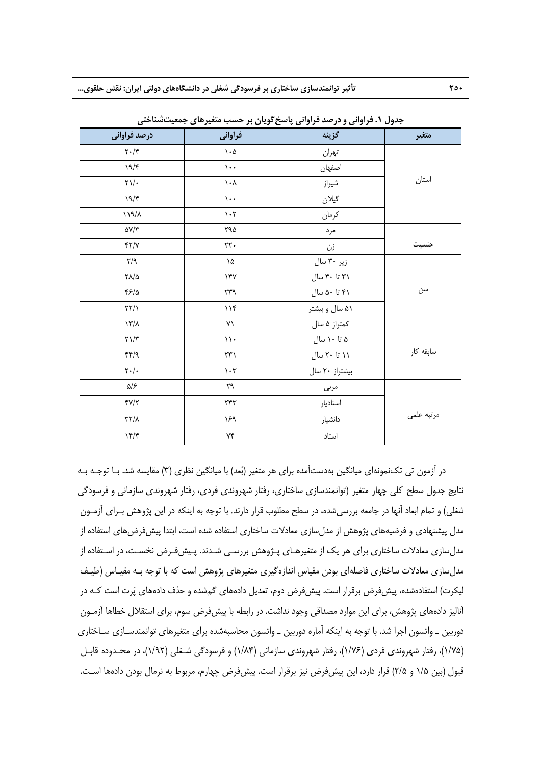| ັ                                                                     | $\cdot$ $\cdot$ $\sim$ $\cdot$ $\cdot$ | $3.9.7 C + 9.32$<br>, , , , , , | . .        |
|-----------------------------------------------------------------------|----------------------------------------|---------------------------------|------------|
| درصد فراوانی                                                          | فراوانی                                | گزينه                           | متغير      |
| $\mathbf{Y}\boldsymbol{\cdot}/\mathbf{Y}$                             | $\mathcal{N}\cdot\mathcal{Q}$          | تهران                           |            |
| 19/5                                                                  | $\mathcal{L}$ .                        | اصفهان                          |            |
| $\gamma\gamma/\mathcal{A}$                                            | $\lambda \cdot \lambda$                | شيراز                           | استان      |
| $\backslash\mathop{\mathsf{A}}\nolimits/\mathop{\mathsf{F}}\nolimits$ | $\mathcal{L}$ .                        | گيلان                           |            |
| $\lambda \lambda / \ell$                                              | $\mathcal{N}\cdot\mathcal{N}$          | كرمان                           |            |
| $\Delta V/\Upsilon$                                                   | ۲۹۵                                    | مرد                             |            |
| $Y\gamma\gamma$                                                       | $\mathsf{Y}\mathsf{Y}\cdot$            | زن                              | جنسيت      |
| $\mathcal{M}/\mathcal{A}$                                             | ١۵                                     | زیر ۳۰ سال                      |            |
| $\Gamma\Lambda/\Delta$                                                | $\gamma$ ۴۷                            | ۳۱ تا ۴۰ سال                    |            |
| 45/2                                                                  | ٣٣٩                                    | ۴۱ تا ۵۰ سال                    | سن         |
| $\frac{1}{2}$                                                         | 116                                    | ۵۱ سال و بیشتر                  |            |
| $\lambda \gamma / \lambda$                                            | ٧١                                     | کمتراز ۵ سال                    |            |
| $\mathbf{Y}\setminus\mathbf{Y}$                                       | $\mathcal{N}$ .                        | ۵ تا ۱۰ سال                     |            |
| $\mathfrak{f} \mathfrak{f} \mathfrak{f} / \mathfrak{f}$               | $\uparrow\uparrow\uparrow$             | ۱۱ تا ۲۰ سال                    | سابقه كار  |
| $\mathbf{Y}\boldsymbol{\cdot}/\boldsymbol{\cdot}$                     | $\mathcal{N}\cdot\mathcal{V}$          | بیشتراز ٢٠ سال                  |            |
| ۵۱۶                                                                   | ٢٩                                     | مربى                            |            |
| $\Upsilon/\Upsilon$                                                   | ٢۴٣                                    | استاديار                        |            |
| $\gamma\gamma\gamma$                                                  | ۱۶۹                                    | دانشيار                         | مرتبه علمى |
| 15/5                                                                  | $\forall \mathfrak{f}$                 | استاد                           |            |

**جدول .1 فراواني و درصد فراواني پاسخگويان بر حسب متغيرهاي جمعيتشناختي** 

در آزمون تي تكنمونهاي ميانگين بهدستآمده براي هر متغير (بعد) با ميانگين نظري (3) مقايسه شد. بـا توجـه بـه نتايج جدول سطح كلي چهار متغير (توانمندسازي ساختاري، رفتار شهروندي فردي، رفتار شهروندي سازماني و فرسودگي شغلي) و تمام ابعاد آنها در جامعه بررسيشده، در سطح مطلوب قرار دارند. با توجه به اينكه در اين پژوهش بـراي آزمـون مدل پيشنهادي و فرضيههاي پژوهش از مدل سازي معادلات ساختاري استفاده شده است، ابتدا پيش فرض هاي استفاده از مدلسازي معادلات ساختاري براي هر يك از متغيرهـاي پـژوهش بررسـي شـدند. پـيشفـرض نخسـت، در اسـتفاده از مدلسازي معادلات ساختاري فاصلهاي بودن مقياس اندازهگيري متغيرهاي پژوهش است كه با توجه بـه مقيـاس (طيـف ليكرت) استفادهشده، پيشفرض برقرار است. پيشفرض دوم، تعديل دادههاي گمشده و حذف دادههاي پرت است كـه در آناليز دادههاي پژوهش، براي اين موارد مصداقي وجود نداشت. در رابطه با پيشفرض سوم، براي استقلال خطاها آزمـون دوربين ـ واتسون اجرا شد. با توجه به اينكه آماره دوربين ـ واتسون محاسبهشده براي متغيرهاي توانمندسـازي سـاختاري (1/75)، رفتار شهروندي فردي (1/76)، رفتار شهروندي سازماني (1/84) و فرسودگي شـغلي (1/92)، در محـدوده قابـل قبول (بين ١/۵ و ٢/۵) قرار دارد، اين پيشفرض نيز برقرار است. پيشفررض چهارم، مربوط به نرمال بودن دادهها اسـت.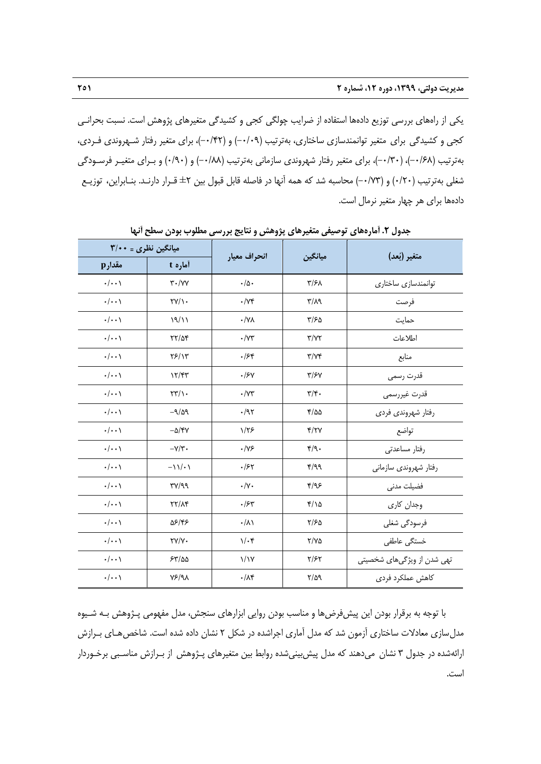يكي از راههاي بررسي توزيع دادهها استفاده از ضرايب چولگي كجي و كشيدگي متغيرهاي پژوهش است. نسبت بحرانـي كجي و كشيدگي براي متغير توانمندسازي ساختاري، بهترتيب (-0/09) و (-0/42)، براي متغير رفتار شـهروندي فـردي، بهترتيب (-0/68)، (-0/30)، براي متغير رفتار شهروندي سازماني بهترتيب (-0/88) و (0/90) و بـراي متغيـر فرسـودگي شغلي بهترتيب (0/20) و (-0/73) محاسبه شد كه همه آنها در فاصله قابل قبول بين ±2 قـرار دارنـد. بنـابراين، توزيـع دادهها براي هر چهار متغير نرمال است.

| میانگین نظری = ۳/۰۰ |                                            |                      |                                   | متغير (بُعد)               |  |
|---------------------|--------------------------------------------|----------------------|-----------------------------------|----------------------------|--|
| مقدارp              | أماره t                                    | انحراف معيار         | ميانگين                           |                            |  |
| $\cdot/\cdot\cdot$  | $\mathsf{r} \cdot / \mathsf{v} \mathsf{v}$ | $\cdot/\Delta$ .     | $\frac{1}{2}$                     | توانمندسازی ساختاری        |  |
| $\cdot/\cdot\cdot$  | $\Upsilon V/\Upsilon$                      | $\cdot/\gamma$ ۴     | $\mathcal{M}\setminus\mathcal{T}$ | فرصت                       |  |
| $\cdot/\cdot\cdot$  | 19/11                                      | $\cdot$ /YA          | $\frac{1}{2}$                     | حمايت                      |  |
| $\cdot/\cdot\cdot$  | $YY/\Delta f$                              | $\cdot/\Upsilon$     | $\Upsilon/\Upsilon\Upsilon$       | اطلاعات                    |  |
| $\cdot/\cdot\cdot$  | YF/Y                                       | .758                 | $\Upsilon/\Upsilon$               | منابع                      |  |
| $\cdot/\cdot\cdot$  | 17/T                                       | .15Y                 | $\frac{y}{5}$                     | قدرت رسمى                  |  |
| $\cdot/\cdot\cdot$  | $\Upsilon \Upsilon / \Upsilon$             | $\cdot$ / $\vee\tau$ | $\mathbf{r}/\mathbf{r}$ .         | قدرت غيررسمي               |  |
| $\cdot/\cdot\cdot$  | $-9/29$                                    | .797                 | $f/\Delta\Delta$                  | رفتار شهروندي فردي         |  |
| $\cdot/\cdot\cdot$  | $-\Delta/\mathfrak{r}$ Y                   | 1/75                 | Y/YY                              | تواضع                      |  |
| $\cdot/\cdot\cdot$  | $-\gamma/\tau$ .                           | $\cdot/\gamma$ ۶     | $\mathfrak{r}/\mathfrak{q}$ .     | رفتار مساعدتى              |  |
| $\cdot/\cdot\cdot$  | $-\frac{1}{\sqrt{2}}$                      | .157                 | 4/99                              | رفتار شهروندی سازمانی      |  |
| $\cdot/\cdot\cdot$  | TY/99                                      | $\cdot/\gamma$ .     | Y/95                              | فضيلت مدنى                 |  |
| $\cdot/\cdot\cdot$  | YY/XY                                      | .75                  | $Y/\Omega$                        | وجدان كارى                 |  |
| $\cdot/\cdot\cdot$  | 58/48                                      | $\cdot/\lambda$      | Y/FQ                              | فرسودگی شغلی               |  |
| $\cdot/\cdot\cdot$  | $\Upsilon V/V$                             | $1/\cdot$ ۴          | $Y/Y$ $\Delta$                    | خستگى عاطفى                |  |
| $\cdot/\cdot\cdot$  | 55/20                                      | $\frac{1}{1}$        | $Y/\mathcal{F}Y$                  | تھی شدن از ویژگیھای شخصیتی |  |
| $\cdot/\cdot\cdot$  | Y5/9                                       | $\cdot/\lambda$ ۴    | $\frac{8}{4}$                     | كاهش عملكرد فردى           |  |

**جدول .2 آمارههاي توصيفي متغيرهاي پژوهش و نتايج بررسي مطلوب بودن سطح آنها** 

با توجه به برقرار بودن اين پيشفرضها و مناسب بودن روايي ابزارهاي سنجش، مدل مفهومي پـژوهش بـه شـيوه مدل سازي معادلات ساختاري آزمون شد كه مدل آماري اجراشده در شكل ٢ نشان داده شده است. شاخص هـاي بـرازش ارائهشده در جدول 3 نشان ميدهند كه مدل پيشبينيشده روابط بين متغيرهاي پـژوهش از بـرازش مناسـبي برخـوردار است.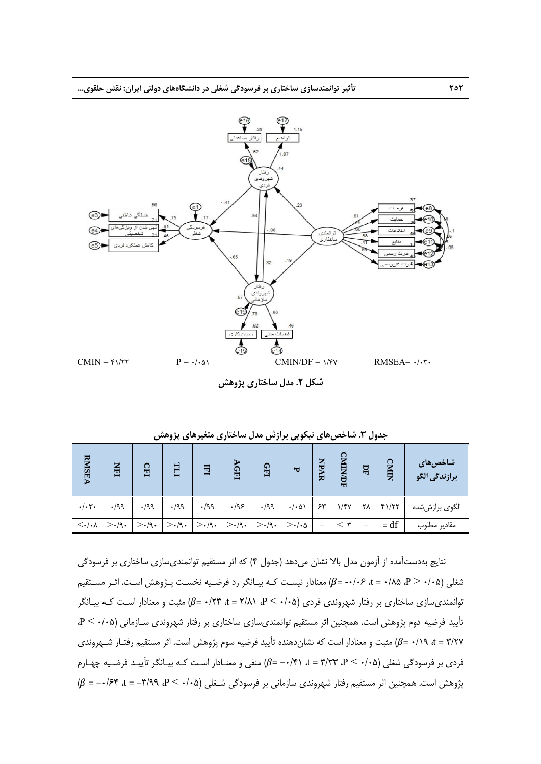

**شكل .2 مدل ساختاري پژوهش**

| <b>RMSEA</b>                    | $\overline{\mathbf{H}}$ | 읍            |             | 国            | $\sim$<br><b>GHI</b> | GFI          | ъ                     | NPA<br>ᄫ | ្ទ<br>È<br>ЯФF | 모                        | $\Omega$<br>È   | شاخصهای<br>برازندگی الگو |
|---------------------------------|-------------------------|--------------|-------------|--------------|----------------------|--------------|-----------------------|----------|----------------|--------------------------|-----------------|--------------------------|
| $\cdot/\cdot$ ۳ $\cdot$         | $\cdot$ /99             | $\cdot$ /99  | $\cdot$ /99 | $\cdot$ /99  | $\cdot$ /98          | $\cdot$ /99  | $\cdot/\cdot\Delta$   | ۶۳       | $\gamma$       | ۲۸                       | $Y\setminus YY$ | الگوی برازششده           |
| $\langle \cdot   \cdot \rangle$ | >.(9)                   | $>\cdot$ /9. | $>$ ./9.    | $>\cdot$ /9. | $>\cdot$ /9.         | $>\cdot$ /9. | $>\cdot/\cdot \Delta$ |          | ₩              | $\overline{\phantom{m}}$ | $= df$          | مقادير مطلوب             |

**جدول .3 شاخصهاي نيكويي برازش مدل ساختاري متغيرهاي پژوهش** 

نتايج بهدستآمده از آزمون مدل بالا نشان ميدهد (جدول 4) كه اثر مستقيم توانمنديسازي ساختاري بر فرسودگي شغلي (P> ·/·۵، ۵ $\beta$ ، ۵ $\beta$ ۰/۰۶ = ۰/۰۶ معنادار نيسـت كـه بيـانگر رد فرضـيه نخسـت پـژوهش اسـت. اثـر مسـتقيم توانمندي سازي ساختاري بر رفتار شهروندي فردي (0/05 - P)، 2/07 + = 7/81 مثبت و معنادار اسـت كـه بيـانگر تأييد فرضيه دوم پژوهش است. همچنين اثر مستقيم توانمنديسازي ساختاري بر رفتار شهروندي سـازماني (0/05 > P، t = ۳/۲۷ هـ// 6/19 = 6) مثبت و معنادار است كه نشان دهنده تأييد فرضيه سوم پژوهش است. اثر مستقيم رفتـار شـهروندي فردي بر فرسودگي شغلي (0/05 > P، 3/33 = t، -0/41= ߚ) منفي و معنـادار اسـت كـه بيـانگر تأييـد فرضـيه چهـارم پژوهش است. همچنين اثر مستقيم رفتار شهروندي سازماني بر فرسودگي شـغلي (0/05 > P، -3/99 = t، -0/64 = ߚ)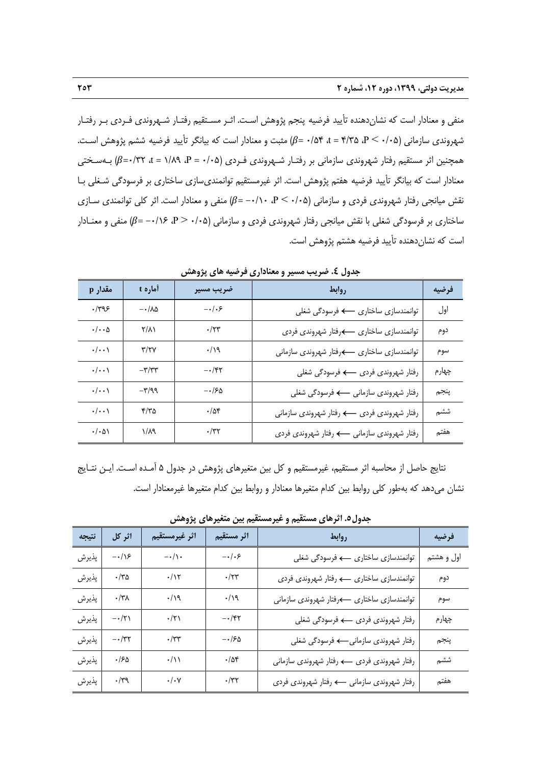منفي و معنادار است كه نشاندهنده تأييد فرضيه پنجم پژوهش اسـت. اثـر مسـتقيم رفتـار شـهروندي فـردي بـر رفتـار شهروندي سازماني (0/05 + 0/05 at = ۴/۳۵ هجبت و معنادار است كه بيانگر تأييد فرضيه ششم پژوهش اسـت. همچنين اثر مستقيم رفتار شهروندي سازماني بر رفتـار شـهروندي فـردي (0/05 = P، 1/89 = t، 0/32=ߚ) بـهسـختي معنادار است كه بيانگر تأييد فرضيه هفتم پژوهش است. اثر غيرمستقيم توانمنديسازي ساختاري بر فرسودگي شـغلي بـا  $\beta = \mu$ نقش میانجی رفتار شهروندی فردی و سازمانی  $\beta = -\lambda \cdot (B - \beta - \beta)$  منفی و معنادار است. اثر كلی توانمندی سـازی ساختاري بر فرسودگي شغلي با نقش ميانجي رفتار شهروندي فردي و سازماني (0/05 - P، -0/16) منفي و معنـادار است كه نشاندهنده تأييد فرضيه هشتم پژوهش است.

| مقدار p                  | آماره t                  | ضريب مسير        | روابط                                      | فرضيه |
|--------------------------|--------------------------|------------------|--------------------------------------------|-------|
| $\cdot$ /٣٩۶             | $-\cdot/\lambda\Delta$   | $-\cdot/\cdot$ ۶ | توانمندسازي ساختاري - > فرسودگي شغلي       | اول   |
| $\cdot/\cdot\cdot\Delta$ | $\mathsf{Y}/\mathsf{A}$  | $\cdot$ /۲۳      | توانمندسازي ساختاري كرفتار شهروندي فردي    | دوم   |
| $\cdot/\cdot\cdot$       | $\mathbf{y}/\mathbf{y}$  | $\cdot/\gamma$   | توانمندسازي ساختاري كرفتار شهروندي سازماني | سوم   |
| $\cdot/\cdot\cdot$       | $-\tau/\tau$             | $-\cdot$ /۴۲     |                                            | چھارم |
| $\cdot/\cdot\cdot$       | $-\mathbf{r}/\mathbf{q}$ | $-150$           | رفتار شهروندي سازماني — فرسودگي شغلي       | پنجم  |
| $\cdot/\cdot\cdot$       | Y/Y                      | $\cdot/\Delta f$ |                                            | ششم   |
| $\cdot/\cdot\Delta$      | $1/\lambda$ ۹            | $\cdot$ /٣٢      | رفتار شهروندي سازماني ← رفتار شهروندي فردي | هفتم  |

**جدول .4 ضريب مسير و معناداري فرضيه هاي پژوهش**

نتايج حاصل از محاسبه اثر مستقيم، غيرمستقيم و كل بين متغيرهاي پژوهش در جدول 5 آمـده اسـت. ايـن نتـايج نشان ميدهد كه بهطور كلي روابط بين كدام متغيرها معنادار و روابط بين كدام متغيرها غيرمعنادار است.

| نتيجه | اثر کل            | اثر غيرمستقيم                                             | اثر مستقيم       | روابط                                | فرضيه      |
|-------|-------------------|-----------------------------------------------------------|------------------|--------------------------------------|------------|
| پذيرش | $-\cdot/\sqrt{2}$ | $-\cdot/\!\setminus\!\cdot$                               | $-\cdot/\cdot$ ۶ |                                      | اول و هشتم |
| پذيرش | $\cdot$ /٣۵       | $\cdot/\gamma$                                            | $\cdot/\tau$ ۳   |                                      | دوم        |
| پذيرش | $\cdot/\tau$      | .19                                                       | $\cdot/\gamma$   |                                      | سوم        |
| پذيرش | $-\cdot/\tau$     | $\cdot/\tau$                                              | $-\cdot$ /۴۲     |                                      | چھارم      |
| پذيرش | $-\cdot/\tau\tau$ | $\cdot/\tau\tau$                                          | $-150$           | رفتار شهروندي سازماني—› فرسودگي شغلي | پنجم       |
| پذيرش | $\cdot$ /۶۵       | $\cdot/\wedge$                                            | $\cdot/\Delta f$ |                                      | ششم        |
| پذيرش | $\cdot/\Upsilon$  | $\boldsymbol{\cdot}/\boldsymbol{\cdot}$ $\mathsf{\gamma}$ | $\cdot/\tau\tau$ |                                      | هفتم       |

**جدول.5 اثرهاي مستقيم و غيرمستقيم بين متغيرهاي پژوهش**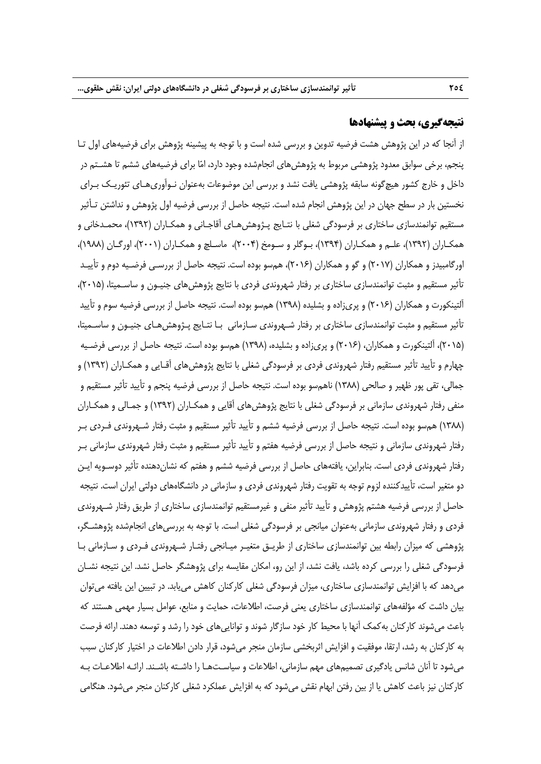#### **نتيجهگيري، بحث و پيشنهادها**

از آنجا كه در اين پژوهش هشت فرضيه تدوين و بررسي شده است و با توجه به پيشينه پژوهش براي فرضيههاي اول تـا پنجم، برخي سوابق معدود پژوهشي مربوط به پژوهشهاي انجامشده وجود دارد، اما براي فرضيههاي ششم تا هشـتم در داخل و خارج كشور هيچگونه سابقه پژوهشي يافت نشد و بررسي اين موضوعات بهعنوان نـوآوريهـاي تئوريـك بـراي نخستين بار در سطح جهان در اين پژوهش انجام شده است. نتيجه حاصل از بررسي فرضيه اول پژوهش و نداشتن تـأثير مستقيم توانمندسازي ساختاري بر فرسودگي شغلي با نتـايج پـژوهشهـاي آقاجـاني و همكـاران (1392)، محمـدخاني و همكـاران (1392)، علـم و همكـاران (1394)، بـوگلر و سـومخ (2004)، ماسـلچ و همكـاران (2001)، اورگـان (1988)، اورگامبيدز و همكاران (2017) و گو و همكاران (2016)، همسو بوده است. نتيجه حاصل از بررسـي فرضـيه دوم و تأييـد تأثير مستقيم و مثبت توانمندسازي ساختاري بر رفتار شهروندي فردي با نتايج پژوهشهاي جنيـون و ساسـميتا، (2015)، آلتينكورت و همكاران (2016) و پريزاده و بشليده (1398) همسو بوده است. نتيجه حاصل از بررسي فرضيه سوم و تأييد تأثير مستقيم و مثبت توانمندسازي ساختاري بر رفتار شـهروندي سـازماني بـا نتـايج پـژوهشهـاي جنيـون و ساسـميتا، (2015)، آلتينكورت و همكاران، (2016) و پريزاده و بشليده، (1398) همسو بوده است. نتيجه حاصل از بررسي فرضـيه چهارم و تأييد تأثير مستقيم رفتار شهروندي فردي بر فرسودگي شغلي با نتايج پژوهشهاي آقـايي و همكـاران (1392) و جمالي، تقي پور ظهير و صالحي (1388) ناهمسو بوده است. نتيجه حاصل از بررسي فرضيه پنجم و تأييد تأثير مستقيم و منفي رفتار شهروندي سازماني بر فرسودگي شغلي با نتايج پژوهشهاي آقايي و همكـاران (1392) و جمـالي و همكـاران (1388) همسو بوده است. نتيجه حاصل از بررسي فرضيه ششم و تأييد تأثير مستقيم و مثبت رفتار شـهروندي فـردي بـر رفتار شهروندي سازماني و نتيجه حاصل از بررسي فرضيه هفتم و تأييد تأثير مستقيم و مثبت رفتار شهروندي سازماني بـر رفتار شهروندي فردي است. بنابراين، يافتههاي حاصل از بررسي فرضيه ششم و هفتم كه نشاندهنده تأثير دوسـويه ايـن دو متغير است، تأييدكننده لزوم توجه به تقويت رفتار شهروندي فردي و سازماني در دانشگاههاي دولتي ايران است. نتيجه حاصل از بررسي فرضيه هشتم پژوهش و تأييد تأثير منفي و غيرمستقيم توانمندسازي ساختاري از طريق رفتار شـهروندي فردي و رفتار شهروندي سازماني بهعنوان ميانجي بر فرسودگي شغلي است. با توجه به بررسيهاي انجامشده پژوهشـگر، پژوهشي كه ميزان رابطه بين توانمندسازي ساختاري از طريـق متغيـر ميـانجي رفتـار شـهروندي فـردي و سـازماني بـا فرسودگي شغلي را بررسي كرده باشد، يافت نشد، از اين رو، امكان مقايسه براي پژوهشگر حاصل نشد. اين نتيجه نشـان ميدهد كه با افزايش توانمندسازي ساختاري، ميزان فرسودگي شغلي كاركنان كاهش مييابد. در تبيين اين يافته ميتوان بيان داشت كه مؤلفههاي توانمندسازي ساختاري يعني فرصت، اطلاعات، حمايت و منابع، عوامل بسيار مهمي هستند كه باعث ميشوند كاركنان بهكمك آنها با محيط كار خود سازگار شوند و تواناييهاي خود را رشد و توسعه دهند. ارائه فرصت به كاركنان به رشد، ارتقا، موفقيت و افزايش اثربخشي سازمان منجر ميشود، قرار دادن اطلاعات در اختيار كاركنان سبب ميشود تا آنان شانس يادگيري تصميمهاي مهم سازماني، اطلاعات و سياسـتهـا را داشـته باشـند. ارائـه اطلاعـات بـه كاركنان نيز باعث كاهش يا از بين رفتن ابهام نقش ميشود كه به افزايش عملكرد شغلي كاركنان منجر ميشود. هنگامي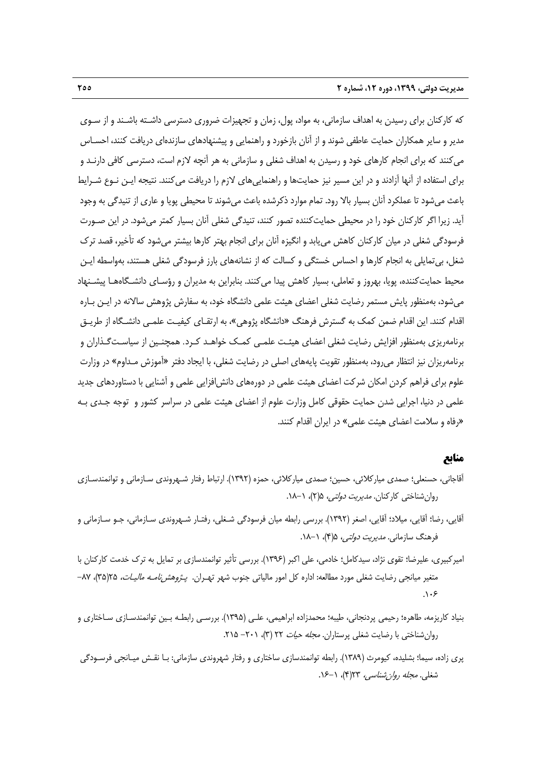كه كاركنان براي رسيدن به اهداف سازماني، به مواد، پول، زمان و تجهيزات ضروري دسترسي داشـته باشـند و از سـوي مدير و ساير همكاران حمايت عاطفي شوند و از آنان بازخورد و راهنمايي و پيشنهادهاي سازندهاي دريافت كنند، احسـاس ميكنند كه براي انجام كارهاي خود و رسيدن به اهداف شغلي و سازماني به هر آنچه لازم است، دسترسي كافي دارنـد و براي استفاده از آنها آزادند و در اين مسير نيز حمايتها و راهنماييهاي لازم را دريافت ميكنند. نتيجه ايـن نـوع شـرايط باعث ميشود تا عملكرد آنان بسيار بالا رود. تمام موارد ذكرشده باعث ميشوند تا محيطي پويا و عاري از تنيدگي به وجود آيد. زيرا اگر كاركنان خود را در محيطي حمايتكننده تصور كنند، تنيدگي شغلي آنان بسيار كمتر ميشود. در اين صـورت فرسودگي شغلي در ميان كاركنان كاهش مييابد و انگيزه آنان براي انجام بهتر كارها بيشتر ميشود كه تأخير، قصد ترك شغل، بيتمايلي به انجام كارها و احساس خستگي و كسالت كه از نشانههاي بارز فرسودگي شغلي هستند، بهواسطه ايـن محيط حمايتكننده، پويا، بهروز و تعاملي، بسيار كاهش پيدا ميكنند. بنابراين به مديران و رؤسـاي دانشـگاههـا پيشـنهاد ميشود، بهمنظور پايش مستمر رضايت شغلي اعضاي هيئت علمي دانشگاه خود، به سفارش پژوهش سالانه در ايـن بـاره اقدام كنند. اين اقدام ضمن كمك به گسترش فرهنگ «دانشگاه پژوهي»، به ارتقـاي كيفيـت علمـي دانشـگاه از طريـق برنامهريزي بهمنظور افزايش رضايت شغلي اعضاي هيئـت علمـي كمـك خواهـد كـرد. همچنـين از سياسـتگـذاران و برنامهريزان نيز انتظار ميرود، بهمنظور تقويت پايههاي اصلي در رضايت شغلي، با ايجاد دفتر «آموزش مـداوم» در وزارت علوم براي فراهم كردن امكان شركت اعضاي هيئت علمي در دورههاي دانشافزايي علمي و آشنايي با دستاوردهاي جديد علمي در دنيا، اجرايي شدن حمايت حقوقي كامل وزارت علوم از اعضاي هيئت علمي در سراسر كشور و توجه جـدي بـه «رفاه و سلامت اعضاي هيئت علمي» در ايران اقدام كنند.

#### **منابع**

- آقاجاني، حسنعلي؛ صمدي مياركلائي، حسين؛ صمدي مياركلائي، حمزه (1392). ارتباط رفتار شـهروندي سـازماني و توانمندسـازي روان شناختي كاركنان. *مديريت دولتي،* ۵(۲)، ۱–۱۸.
- آقايي، رضا؛ آقايي، ميلاد؛ آقايي، اصغر (1392). بررسي رابطه ميان فرسودگي شـغلي، رفتـار شـهروندي سـازماني، جـو سـازماني و فرهنگ سازمان*ي. مديريت دولتي،* ۵(۴)، ۱–۱۸.
- اميركبيري، عليرضا؛ تقوي نژاد، سيدكامل؛ خادمي، علي اكبر (1396). بررسي تأثير توانمندسازي بر تمايل به ترك خدمت كاركنان با متغير ميانجي رضايت شغلي مورد مطالعه: اداره كل امور مالياتي جنوب شهر تهـران. *پـژوهشنامـه ماليـات،* 7۵(۳۵)، ۸۷–  $\Lambda$ .۶
- بنياد كاريزمه، طاهره؛ رحيمي پردنجاني، طيبه؛ محمدزاده ابراهيمي، علـي (1395). بررسـي رابطـه بـين توانمندسـازي سـاختاري و روان شناختي با رضايت شغلي پرستاران. *مجله حيات* ٢٢ (٣)، ٢٠١ - ٢١۵.
- پري زاده، سيما؛ بشليده، كيومرث (1389). رابطه توانمندسازي ساختاري و رفتار شهروندي سازماني: بـا نقـش ميـانجي فرسـودگي شغلي. مجله روانشناسي، 23(4)، .16-1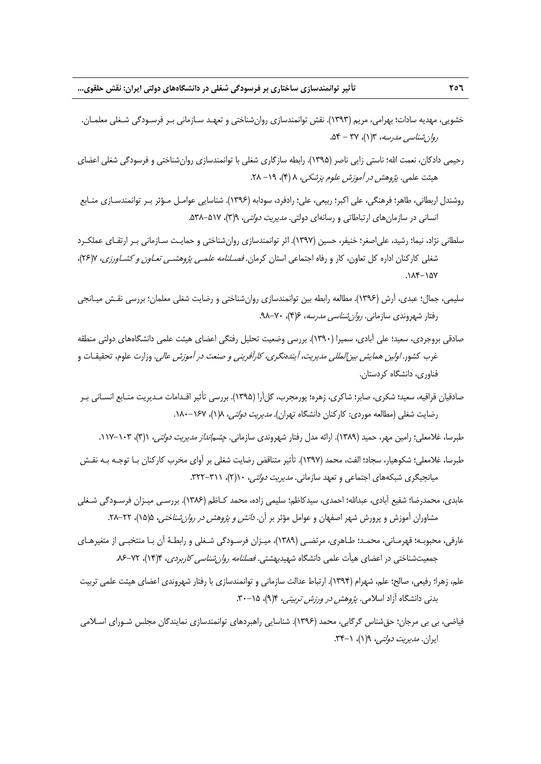- خشويي، مهديه سادات؛ بهرامي، مريم (1393). نقش توانمندسازي روانشناختي و تعهـد سـازماني بـر فرسـودگي شـغلي معلمـان. روانشناسي مدرسه، 3(1)، 37 - .54
- رحيمي دادكان، نعمت االله؛ ناستي زايي ناصر (1395). رابطه سازگاري شغلي با توانمندسازي روانشناختي و فرسودگي شغلي اعضاي هيئت علمي. پژوهش در آموزش علوم پزشكي، 8 (4)، -19 .28
- روشندل اربطاني، طاهر؛ فرهنگي، علي اكبر؛ ربيعي، علي؛ رادفرد، سودابه (1396). شناسايي عوامـل مـؤثر بـر توانمندسـازي منـابع انساني در سازمان هاي ارتباطاتي و رسانهاي دولتي. *مديريت دولتي،* 9(٣)، ۵۲۷-۵۳۸.
- سلطاني نژاد، نيما؛ رشيد، علياصغر؛ خنيفر، حسين (1397). اثر توانمندسازي روانشناختي و حمايـت سـازماني بـر ارتقـاي عملكـرد شغلي كاركنان اداره كل تعاون، كار و رفاه اجتماعي استان كرمان. فصـلنامه علمـي پژوهشـي تعـاون <sup>و</sup> كشـاورزي، 7(26)،  $\Lambda$ K $-1\Delta V$
- سليمي، جمال؛ عبدي، آرش (1396). مطالعه رابطه بين توانمندسازي روانشناختي و رضايت شغلي معلمان؛ بررسي نقـش ميـانجي رفتار شهروندي سازماني. *روان شناسي مدرسه، ۱۶*(۴)، ۷۰-۹۸.
- صادقي بروجردي، سعيد؛ علي آبادي، سميرا (1390). بررسي وضعيت تحليل رفتگي اعضاي هيئت علمي دانشگاههاي دولتي منطقه غرب كشور. *اولين همايش بين المللي مديريت، آيندهنگري، كارآفريني و صنعت در آموزش عالي*. وزارت علوم، تحقيقـات و فناوري، دانشگاه كردستان.
- صادقيان قراقيه، سعيد؛ شكري، صابر؛ شاكري، زهره؛ پورمجرب، گلآرا (1395). بررسي تأثير اقـدامات مـديريت منـابع انسـاني بـر رضايت شغلي (مطالعه موردي: كاركنان دانشگاه تهران). *مديريت دولتي، ١*(١)، ١٤٧-١٨٠.
	- طبرسا، غلامعلي؛ رامين مهر، حميد (١٣٨٩). ارائه مدل رفتار شهروندي سازماني. *چشمانداز مديريت دولتي،* ٦(٣)، ١٠٣–١١٧.
- طبرسا، غلامعلي؛ شكوهيار، سجاد؛ الفت، محمد (1397). تأثير متناقض رضايت شغلي بر آواي مخرب كاركنان بـا توجـه بـه نقـش ميانجيگري شبكههاي اجتماعي و تعهد سازماني. *مديريت دولتي،* ١(٢)، ٣١١-٣٢٢.
- عابدي، محمدرضا؛ شفيع آبادي، عبداالله؛ احمدي، سيدكاظم؛ سليمي زاده، محمد كـاظم (1386). بررسـي ميـزان فرسـودگي شـغلي مشاوران آموزش و پرورش شهر اصفهان و عوامل مؤثر بر آن. *دانش و پژوهش در روان شناختي*، 5(۱۵)، ۲۲–۲۸.
- عارفي، محبوبـه؛ قهرمـاني، محمـد؛ طـاهري، مرتضـي (1389)، ميـزان فرسـودگي شـغلي و رابطـة آن بـا منتخبـي از متغيرهـاي جمعیتشناختی در اعضای هیأت علمی دانشگاه شهیدبهشتی. *فصلنامه روان شناسی کاربردی*، ۴(۱۴)، ۷۲–۸۶.
- علم، زهرا؛ رفيعي، صالح؛ علم، شهرام (1394). ارتباط عدالت سازماني و توانمندسازي با رفتار شهروندي اعضاي هيئت علمي تربيت بدني دانشگاه آزاد اسلامي. *پژوهش در ورزش تربيتي،* ۹(۹)، ۲۰-۳۰.
- فياضي، بي بي مرجان؛ حقشناس گرگابي، محمد (1396). شناسايي راهبردهاي توانمندسازي نمايندگان مجلس شـوراي اسـلامي ايران. *مديريت دولتي،* ۹(۱)، ۰-۳۴.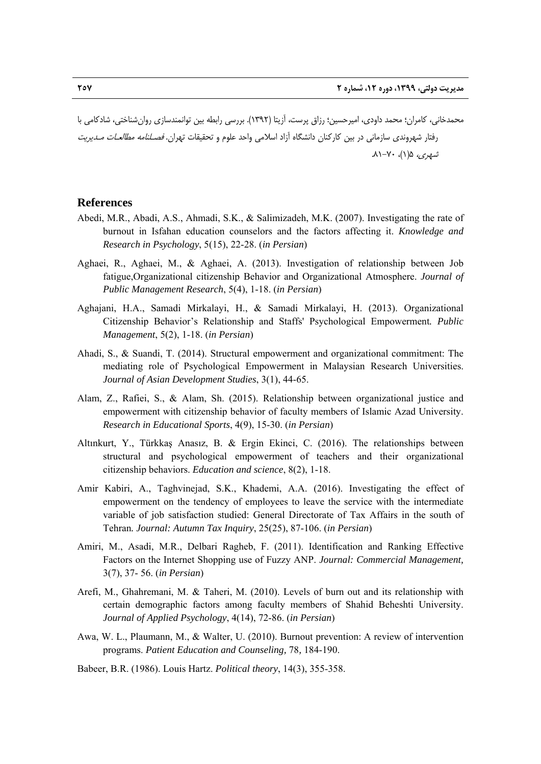محمدخاني، كامران؛ محمد داودي، اميرحسين؛ رزاق پرست، آزيتا (1392). بررسي رابطه بين توانمندسازي روانشناختي، شادكامي با رفتار شهروندي سازماني در بين كاركنان دانشگاه آزاد اسلامي واحد علوم و تحقيقات تهران. فصـلنامه مطالعـات مـديريت شهري، 5(1)، .81-70

#### **References**

- Abedi, M.R., Abadi, A.S., Ahmadi, S.K., & Salimizadeh, M.K. (2007). Investigating the rate of burnout in Isfahan education counselors and the factors affecting it. *Knowledge and Research in Psychology*, 5(15), 22-28. (*in Persian*)
- Aghaei, R., Aghaei, M., & Aghaei, A. (2013). Investigation of relationship between Job fatigue,Organizational citizenship Behavior and Organizational Atmosphere. *Journal of Public Management Research*, 5(4), 1-18. (*in Persian*)
- Aghajani, H.A., Samadi Mirkalayi, H., & Samadi Mirkalayi, H. (2013). Organizational Citizenship Behavior's Relationship and Staffs' Psychological Empowerment*. Public Management*, 5(2), 1-18. (*in Persian*)
- Ahadi, S., & Suandi, T. (2014). Structural empowerment and organizational commitment: The mediating role of Psychological Empowerment in Malaysian Research Universities. *Journal of Asian Development Studies*, 3(1), 44-65.
- Alam, Z., Rafiei, S., & Alam, Sh. (2015). Relationship between organizational justice and empowerment with citizenship behavior of faculty members of Islamic Azad University. *Research in Educational Sports*, 4(9), 15-30. (*in Persian*)
- Altınkurt, Y., Türkkaş Anasız, B. & Ergin Ekinci, C. (2016). The relationships between structural and psychological empowerment of teachers and their organizational citizenship behaviors. *Education and science*, 8(2), 1-18.
- Amir Kabiri, A., Taghvinejad, S.K., Khademi, A.A. (2016). Investigating the effect of empowerment on the tendency of employees to leave the service with the intermediate variable of job satisfaction studied: General Directorate of Tax Affairs in the south of Tehran*. Journal: Autumn Tax Inquiry*, 25(25), 87-106. (*in Persian*)
- Amiri, M., Asadi, M.R., Delbari Ragheb, F. (2011). Identification and Ranking Effective Factors on the Internet Shopping use of Fuzzy ANP. *Journal: Commercial Management,* 3(7), 37- 56. (*in Persian*)
- Arefi, M., Ghahremani, M. & Taheri, M. (2010). Levels of burn out and its relationship with certain demographic factors among faculty members of Shahid Beheshti University. *Journal of Applied Psychology*, 4(14), 72-86. (*in Persian*)
- Awa, W. L., Plaumann, M., & Walter, U. (2010). Burnout prevention: A review of intervention programs. *Patient Education and Counseling,* 78*,* 184-190.
- Babeer, B.R. (1986). Louis Hartz. *Political theory*, 14(3), 355-358.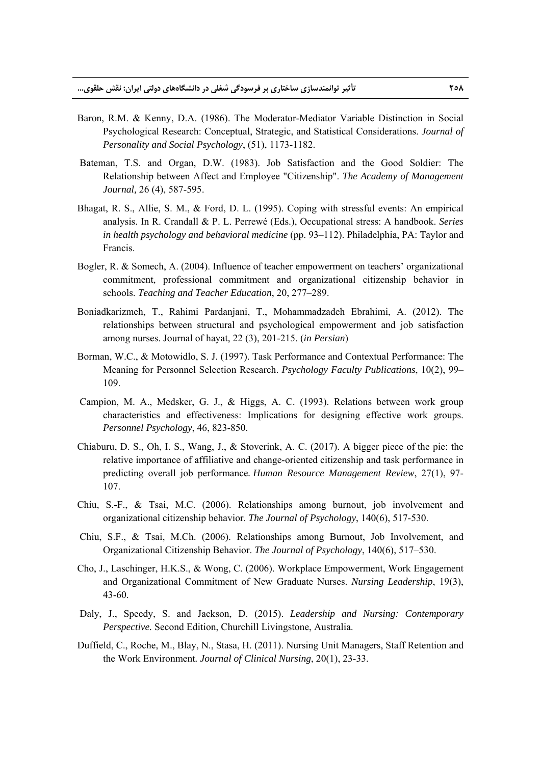- Baron, R.M. & Kenny, D.A. (1986). The Moderator-Mediator Variable Distinction in Social Psychological Research: Conceptual, Strategic, and Statistical Considerations. *Journal of Personality and Social Psychology*, (51), 1173-1182.
- Bateman, T.S. and Organ, D.W. (1983). Job Satisfaction and the Good Soldier: The Relationship between Affect and Employee "Citizenship". *The Academy of Management Journal,* 26 (4), 587-595.
- Bhagat, R. S., Allie, S. M., & Ford, D. L. (1995). Coping with stressful events: An empirical analysis. In R. Crandall & P. L. Perrewé (Eds.), Occupational stress: A handbook. *Series in health psychology and behavioral medicine* (pp. 93–112). Philadelphia, PA: Taylor and Francis.
- Bogler, R. & Somech, A. (2004). Influence of teacher empowerment on teachers' organizational commitment, professional commitment and organizational citizenship behavior in schools. *Teaching and Teacher Education*, 20, 277–289.
- Boniadkarizmeh, T., Rahimi Pardanjani, T., Mohammadzadeh Ebrahimi, A. (2012). The relationships between structural and psychological empowerment and job satisfaction among nurses. Journal of hayat, 22 (3), 201-215. (*in Persian*)
- Borman, W.C., & Motowidlo, S. J. (1997). Task Performance and Contextual Performance: The Meaning for Personnel Selection Research. *Psychology Faculty Publications*, 10(2), 99– 109.
- Campion, M. A., Medsker, G. J., & Higgs, A. C. (1993). Relations between work group characteristics and effectiveness: Implications for designing effective work groups. *Personnel Psychology*, 46, 823-850.
- Chiaburu, D. S., Oh, I. S., Wang, J., & Stoverink, A. C. (2017). A bigger piece of the pie: the relative importance of affiliative and change-oriented citizenship and task performance in predicting overall job performance*. Human Resource Management Review*, 27(1), 97- 107.
- Chiu, S.-F., & Tsai, M.C. (2006). Relationships among burnout, job involvement and organizational citizenship behavior. *The Journal of Psychology*, 140(6), 517-530.
- Chiu, S.F., & Tsai, M.Ch. (2006). Relationships among Burnout, Job Involvement, and Organizational Citizenship Behavior. *The Journal of Psychology*, 140(6), 517–530.
- Cho, J., Laschinger, H.K.S., & Wong, C. (2006). Workplace Empowerment, Work Engagement and Organizational Commitment of New Graduate Nurses. *Nursing Leadership*, 19(3), 43-60.
- Daly, J., Speedy, S. and Jackson, D. (2015). *Leadership and Nursing: Contemporary Perspective.* Second Edition, Churchill Livingstone, Australia.
- Duffield, C., Roche, M., Blay, N., Stasa, H. (2011). Nursing Unit Managers, Staff Retention and the Work Environment*. Journal of Clinical Nursing*, 20(1), 23-33.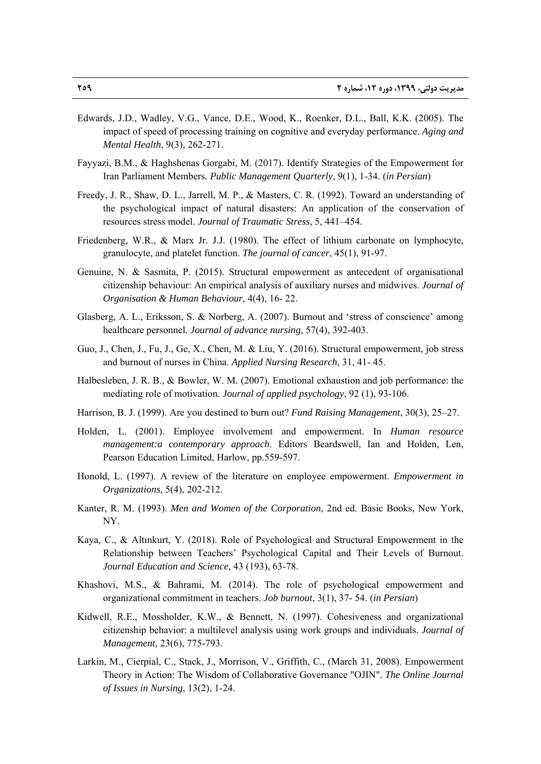- Edwards, J.D., Wadley, V.G., Vance, D.E., Wood, K., Roenker, D.L., Ball, K.K. (2005). The impact of speed of processing training on cognitive and everyday performance. *Aging and Mental Health*, 9(3), 262-271.
- Fayyazi, B.M., & Haghshenas Gorgabi, M. (2017). Identify Strategies of the Empowerment for Iran Parliament Members*. Public Management Quarterly*, 9(1), 1-34. (*in Persian*)
- Freedy, J. R., Shaw, D. L., Jarrell, M. P., & Masters, C. R. (1992). Toward an understanding of the psychological impact of natural disasters: An application of the conservation of resources stress model. *Journal of Traumatic Stress*, 5, 441–454.
- Friedenberg, W.R., & Marx Jr. J.J. (1980). The effect of lithium carbonate on lymphocyte, granulocyte, and platelet function. *The journal of cancer*, 45(1), 91-97.
- Genuine, N. & Sasmita, P. (2015). Structural empowerment as antecedent of organisational citizenship behaviour: An empirical analysis of auxiliary nurses and midwives. *Journal of Organisation & Human Behaviour*, 4(4), 16- 22.
- Glasberg, A. L., Eriksson, S. & Norberg, A. (2007). Burnout and 'stress of conscience' among healthcare personnel*. Journal of advance nursing,* 57(4), 392-403.
- Guo, J., Chen, J., Fu, J., Ge, X., Chen, M. & Liu, Y. (2016). Structural empowerment, job stress and burnout of nurses in China. *Applied Nursing Research*, 31, 41- 45.
- Halbesleben, J. R. B., & Bowler, W. M. (2007). Emotional exhaustion and job performance: the mediating role of motivation. *Journal of applied psychology*, 92 (1), 93-106.
- Harrison, B. J. (1999). Are you destined to burn out? *Fund Raising Management*, 30(3), 25–27.
- Holden, L. (2001). Employee involvement and empowerment. In *Human resource management:a contemporary approach*. Editors Beardswell, Ian and Holden, Len, Pearson Education Limited, Harlow, pp.559-597.
- Honold, L. (1997). A review of the literature on employee empowerment. *Empowerment in Organizations*, 5(4), 202-212.
- Kanter, R. M. (1993). *Men and Women of the Corporation*, 2nd ed*.* Basic Books, New York, NY.
- Kaya, C., & Altınkurt, Y. (2018). Role of Psychological and Structural Empowerment in the Relationship between Teachers' Psychological Capital and Their Levels of Burnout. *Journal Education and Science*, 43 (193), 63-78.
- Khashovi, M.S., & Bahrami, M. (2014). The role of psychological empowerment and organizational commitment in teachers. *Job burnout*, 3(1), 37- 54. (*in Persian*)
- Kidwell, R.E., Mossholder, K.W., & Bennett, N. (1997). Cohesiveness and organizational citizenship behavior: a multilevel analysis using work groups and individuals. *Journal of Management,* 23(6), 775-793.
- Larkin, M., Cierpial, C., Stack, J., Morrison, V., Griffith, C., (March 31, 2008). Empowerment Theory in Action: The Wisdom of Collaborative Governance "OJIN"*. The Online Journal of Issues in Nursing*, 13(2), 1-24.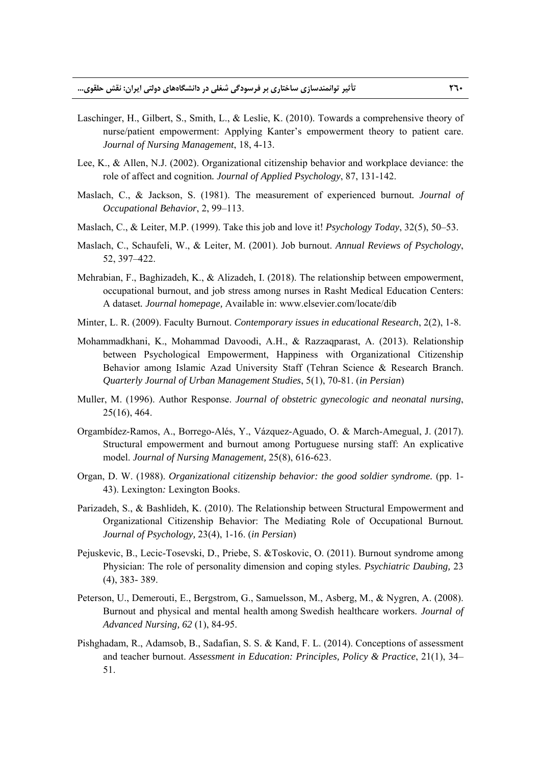- Laschinger, H., Gilbert, S., Smith, L., & Leslie, K. (2010). Towards a comprehensive theory of nurse/patient empowerment: Applying Kanter's empowerment theory to patient care. *Journal of Nursing Management*, 18, 4-13.
- Lee, K., & Allen, N.J. (2002). Organizational citizenship behavior and workplace deviance: the role of affect and cognition*. Journal of Applied Psychology*, 87, 131-142.
- Maslach, C., & Jackson, S. (1981). The measurement of experienced burnout*. Journal of Occupational Behavior*, 2, 99–113.
- Maslach, C., & Leiter, M.P. (1999). Take this job and love it! *Psychology Today*, 32(5), 50–53.
- Maslach, C., Schaufeli, W., & Leiter, M. (2001). Job burnout. *Annual Reviews of Psychology*, 52, 397–422.
- Mehrabian, F., Baghizadeh, K., & Alizadeh, I. (2018). The relationship between empowerment, occupational burnout, and job stress among nurses in Rasht Medical Education Centers: A dataset*. Journal homepage,* Available in: www.elsevier.com/locate/dib
- Minter, L. R. (2009). Faculty Burnout. *Contemporary issues in educational Research*, 2(2), 1-8.
- Mohammadkhani, K., Mohammad Davoodi, A.H., & Razzaqparast, A. (2013). Relationship between Psychological Empowerment, Happiness with Organizational Citizenship Behavior among Islamic Azad University Staff (Tehran Science & Research Branch. *Quarterly Journal of Urban Management Studies*, 5(1), 70-81. (*in Persian*)
- Muller, M. (1996). Author Response. *Journal of obstetric gynecologic and neonatal nursing*, 25(16), 464.
- Orgambídez-Ramos, A., Borrego-Alés, Y., Vázquez-Aguado, O. & March-Amegual, J. (2017). Structural empowerment and burnout among Portuguese nursing staff: An explicative model. *Journal of Nursing Management,* 25(8), 616-623.
- Organ, D. W. (1988). *Organizational citizenship behavior: the good soldier syndrome.* (pp. 1- 43). Lexington*:* Lexington Books.
- Parizadeh, S., & Bashlideh, K. (2010). The Relationship between Structural Empowerment and Organizational Citizenship Behavior: The Mediating Role of Occupational Burnout*. Journal of Psychology,* 23(4), 1-16. (*in Persian*)
- Pejuskevic, B., Lecic-Tosevski, D., Priebe, S. &Toskovic, O. (2011). Burnout syndrome among Physician: The role of personality dimension and coping styles. *Psychiatric Daubing,* 23 (4), 383- 389.
- Peterson, U., Demerouti, E., Bergstrom, G., Samuelsson, M., Asberg, M., & Nygren, A. (2008). Burnout and physical and mental health among Swedish healthcare workers. *Journal of Advanced Nursing, 62* (1), 84-95.
- Pishghadam, R., Adamsob, B., Sadafian, S. S. & Kand, F. L. (2014). Conceptions of assessment and teacher burnout. *Assessment in Education: Principles, Policy & Practice*, 21(1), 34– 51.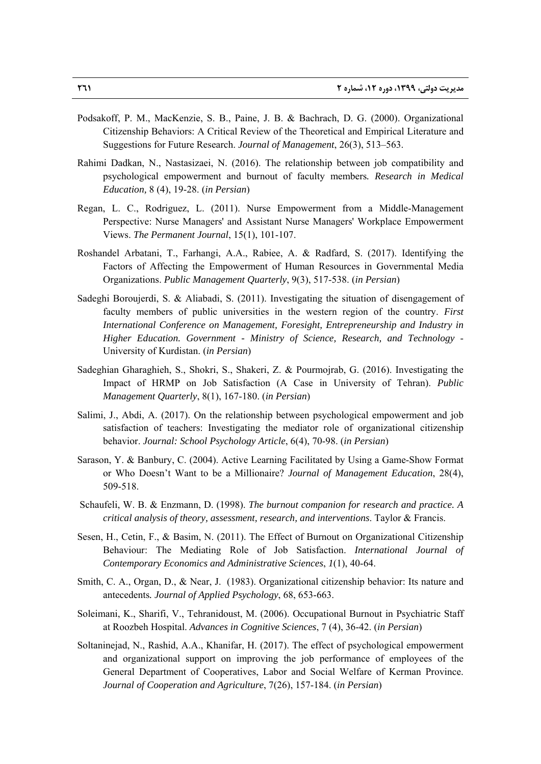- Podsakoff, P. M., MacKenzie, S. B., Paine, J. B. & Bachrach, D. G. (2000). Organizational Citizenship Behaviors: A Critical Review of the Theoretical and Empirical Literature and Suggestions for Future Research. *Journal of Management*, 26(3), 513–563.
- Rahimi Dadkan, N., Nastasizaei, N. (2016). The relationship between job compatibility and psychological empowerment and burnout of faculty members*. Research in Medical Education,* 8 (4), 19-28. (*in Persian*)
- Regan, L. C., Rodriguez, L. (2011). Nurse Empowerment from a Middle-Management Perspective: Nurse Managers' and Assistant Nurse Managers' Workplace Empowerment Views. *The Permanent Journal*, 15(1), 101-107.
- Roshandel Arbatani, T., Farhangi, A.A., Rabiee, A. & Radfard, S. (2017). Identifying the Factors of Affecting the Empowerment of Human Resources in Governmental Media Organizations. *Public Management Quarterly*, 9(3), 517-538. (*in Persian*)
- Sadeghi Boroujerdi, S. & Aliabadi, S. (2011). Investigating the situation of disengagement of faculty members of public universities in the western region of the country. *First International Conference on Management, Foresight, Entrepreneurship and Industry in Higher Education. Government - Ministry of Science, Research, and Technology* - University of Kurdistan. (*in Persian*)
- Sadeghian Gharaghieh, S., Shokri, S., Shakeri, Z. & Pourmojrab, G. (2016). Investigating the Impact of HRMP on Job Satisfaction (A Case in University of Tehran). *Public Management Quarterly*, 8(1), 167-180. (*in Persian*)
- Salimi, J., Abdi, A. (2017). On the relationship between psychological empowerment and job satisfaction of teachers: Investigating the mediator role of organizational citizenship behavior. *Journal: School Psychology Article*, 6(4), 70-98. (*in Persian*)
- Sarason, Y. & Banbury, C. (2004). Active Learning Facilitated by Using a Game-Show Format or Who Doesn't Want to be a Millionaire? *Journal of Management Education*, 28(4), 509-518.
- Schaufeli, W. B. & Enzmann, D. (1998). *The burnout companion for research and practice. A critical analysis of theory, assessment, research, and interventions*. Taylor & Francis.
- Sesen, H., Cetin, F., & Basim, N. (2011). The Effect of Burnout on Organizational Citizenship Behaviour: The Mediating Role of Job Satisfaction. *International Journal of Contemporary Economics and Administrative Sciences*, *1*(1), 40-64.
- Smith, C. A., Organ, D., & Near, J. (1983). Organizational citizenship behavior: Its nature and antecedents*. Journal of Applied Psychology*, 68, 653-663.
- Soleimani, K., Sharifi, V., Tehranidoust, M. (2006). Occupational Burnout in Psychiatric Staff at Roozbeh Hospital. *Advances in Cognitive Sciences*, 7 (4), 36-42. (*in Persian*)
- Soltaninejad, N., Rashid, A.A., Khanifar, H. (2017). The effect of psychological empowerment and organizational support on improving the job performance of employees of the General Department of Cooperatives, Labor and Social Welfare of Kerman Province. *Journal of Cooperation and Agriculture*, 7(26), 157-184. (*in Persian*)